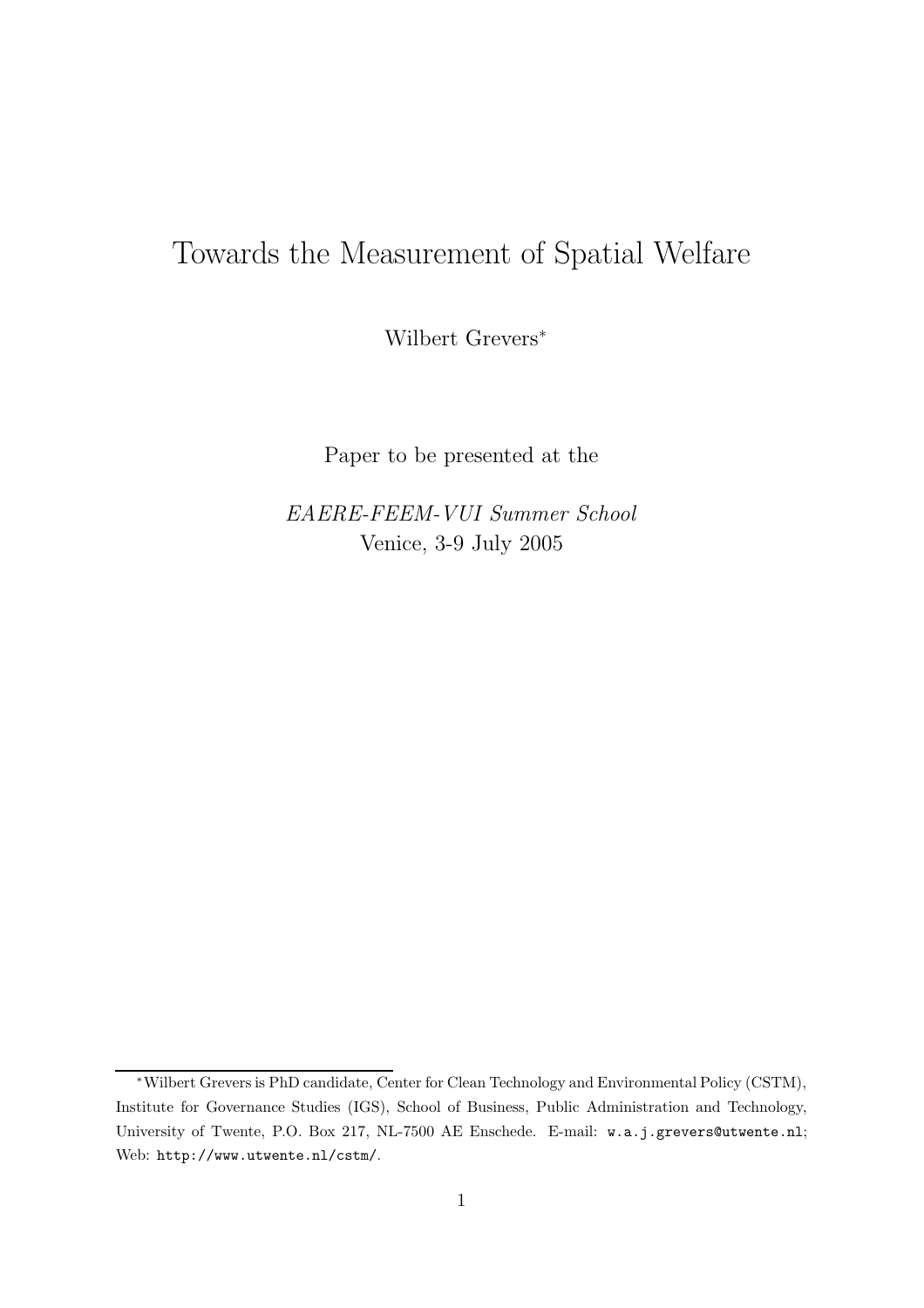# Towards the Measurement of Spatial Welfare

Wilbert Grevers<sup>∗</sup>

Paper to be presented at the

EAERE-FEEM-VUI Summer School Venice, 3-9 July 2005

<sup>∗</sup>Wilbert Grevers is PhD candidate, Center for Clean Technology and Environmental Policy (CSTM), Institute for Governance Studies (IGS), School of Business, Public Administration and Technology, University of Twente, P.O. Box 217, NL-7500 AE Enschede. E-mail: w.a.j.grevers@utwente.nl; Web: http://www.utwente.nl/cstm/.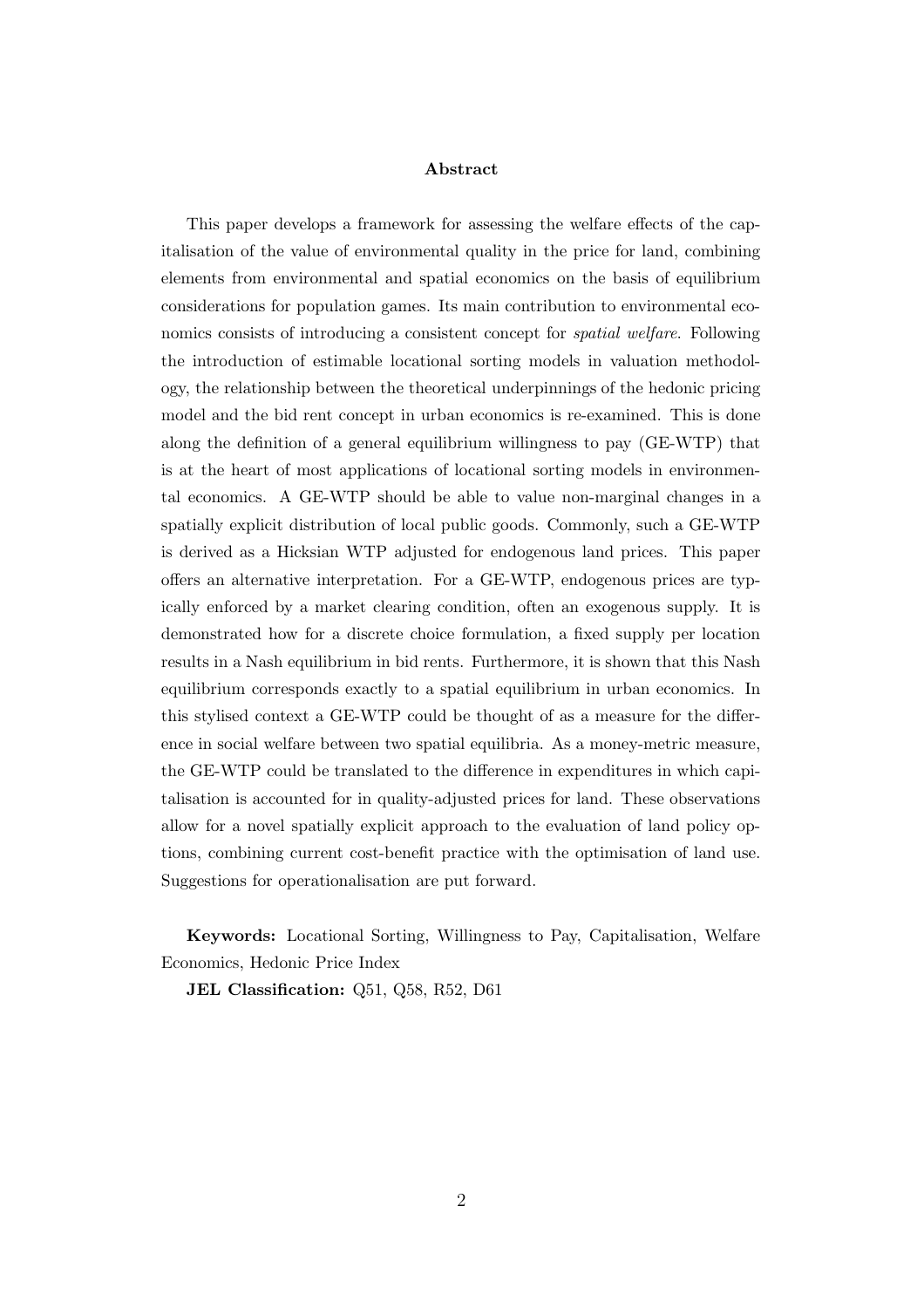#### Abstract

This paper develops a framework for assessing the welfare effects of the capitalisation of the value of environmental quality in the price for land, combining elements from environmental and spatial economics on the basis of equilibrium considerations for population games. Its main contribution to environmental economics consists of introducing a consistent concept for spatial welfare. Following the introduction of estimable locational sorting models in valuation methodology, the relationship between the theoretical underpinnings of the hedonic pricing model and the bid rent concept in urban economics is re-examined. This is done along the definition of a general equilibrium willingness to pay (GE-WTP) that is at the heart of most applications of locational sorting models in environmental economics. A GE-WTP should be able to value non-marginal changes in a spatially explicit distribution of local public goods. Commonly, such a GE-WTP is derived as a Hicksian WTP adjusted for endogenous land prices. This paper offers an alternative interpretation. For a GE-WTP, endogenous prices are typically enforced by a market clearing condition, often an exogenous supply. It is demonstrated how for a discrete choice formulation, a fixed supply per location results in a Nash equilibrium in bid rents. Furthermore, it is shown that this Nash equilibrium corresponds exactly to a spatial equilibrium in urban economics. In this stylised context a GE-WTP could be thought of as a measure for the difference in social welfare between two spatial equilibria. As a money-metric measure, the GE-WTP could be translated to the difference in expenditures in which capitalisation is accounted for in quality-adjusted prices for land. These observations allow for a novel spatially explicit approach to the evaluation of land policy options, combining current cost-benefit practice with the optimisation of land use. Suggestions for operationalisation are put forward.

Keywords: Locational Sorting, Willingness to Pay, Capitalisation, Welfare Economics, Hedonic Price Index

JEL Classification: Q51, Q58, R52, D61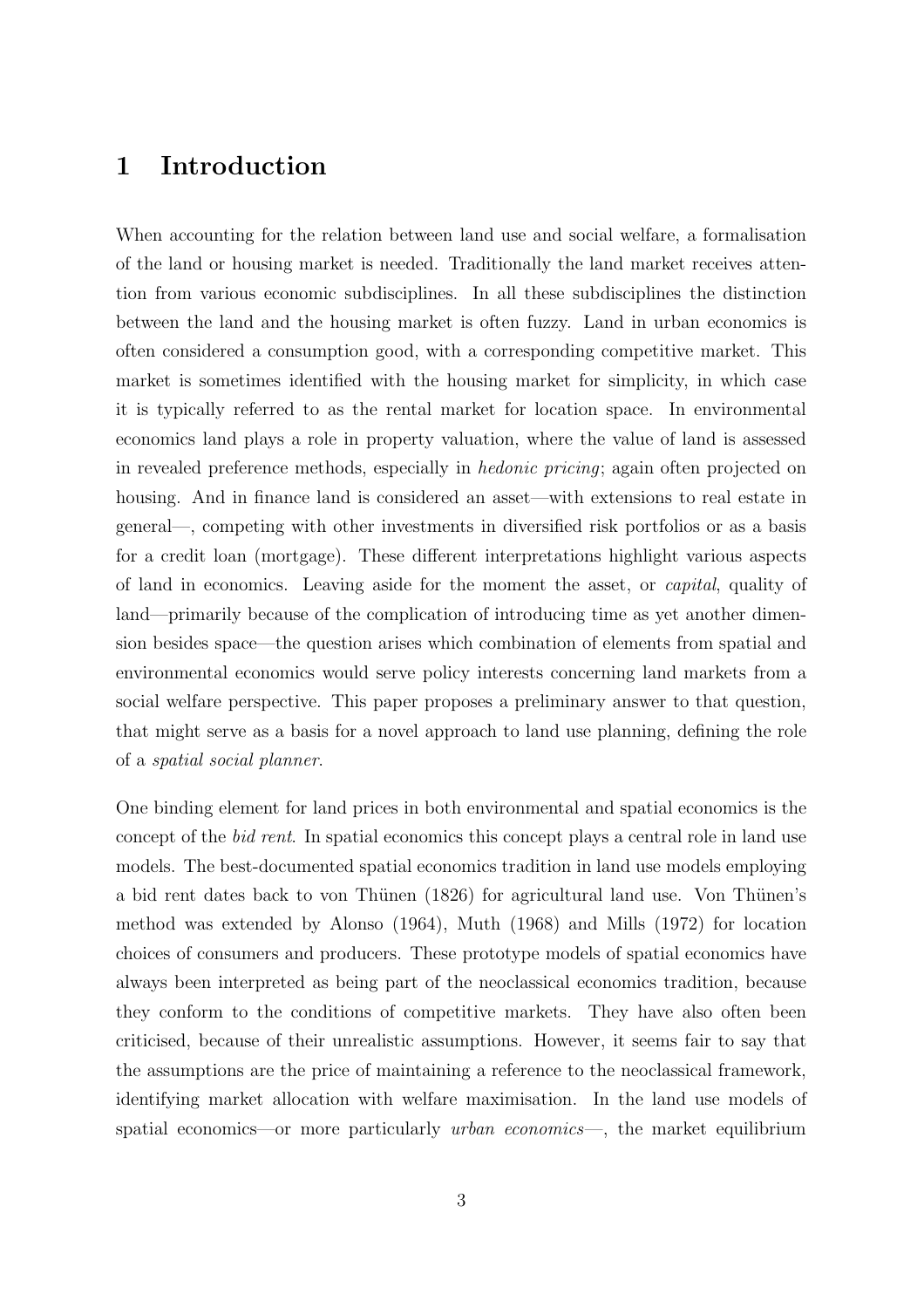### 1 Introduction

When accounting for the relation between land use and social welfare, a formalisation of the land or housing market is needed. Traditionally the land market receives attention from various economic subdisciplines. In all these subdisciplines the distinction between the land and the housing market is often fuzzy. Land in urban economics is often considered a consumption good, with a corresponding competitive market. This market is sometimes identified with the housing market for simplicity, in which case it is typically referred to as the rental market for location space. In environmental economics land plays a role in property valuation, where the value of land is assessed in revealed preference methods, especially in hedonic pricing; again often projected on housing. And in finance land is considered an asset—with extensions to real estate in general—, competing with other investments in diversified risk portfolios or as a basis for a credit loan (mortgage). These different interpretations highlight various aspects of land in economics. Leaving aside for the moment the asset, or capital, quality of land—primarily because of the complication of introducing time as yet another dimension besides space—the question arises which combination of elements from spatial and environmental economics would serve policy interests concerning land markets from a social welfare perspective. This paper proposes a preliminary answer to that question, that might serve as a basis for a novel approach to land use planning, defining the role of a spatial social planner.

One binding element for land prices in both environmental and spatial economics is the concept of the bid rent. In spatial economics this concept plays a central role in land use models. The best-documented spatial economics tradition in land use models employing a bid rent dates back to von Thünen (1826) for agricultural land use. Von Thünen's method was extended by Alonso (1964), Muth (1968) and Mills (1972) for location choices of consumers and producers. These prototype models of spatial economics have always been interpreted as being part of the neoclassical economics tradition, because they conform to the conditions of competitive markets. They have also often been criticised, because of their unrealistic assumptions. However, it seems fair to say that the assumptions are the price of maintaining a reference to the neoclassical framework, identifying market allocation with welfare maximisation. In the land use models of spatial economics—or more particularly *urban economics*—, the market equilibrium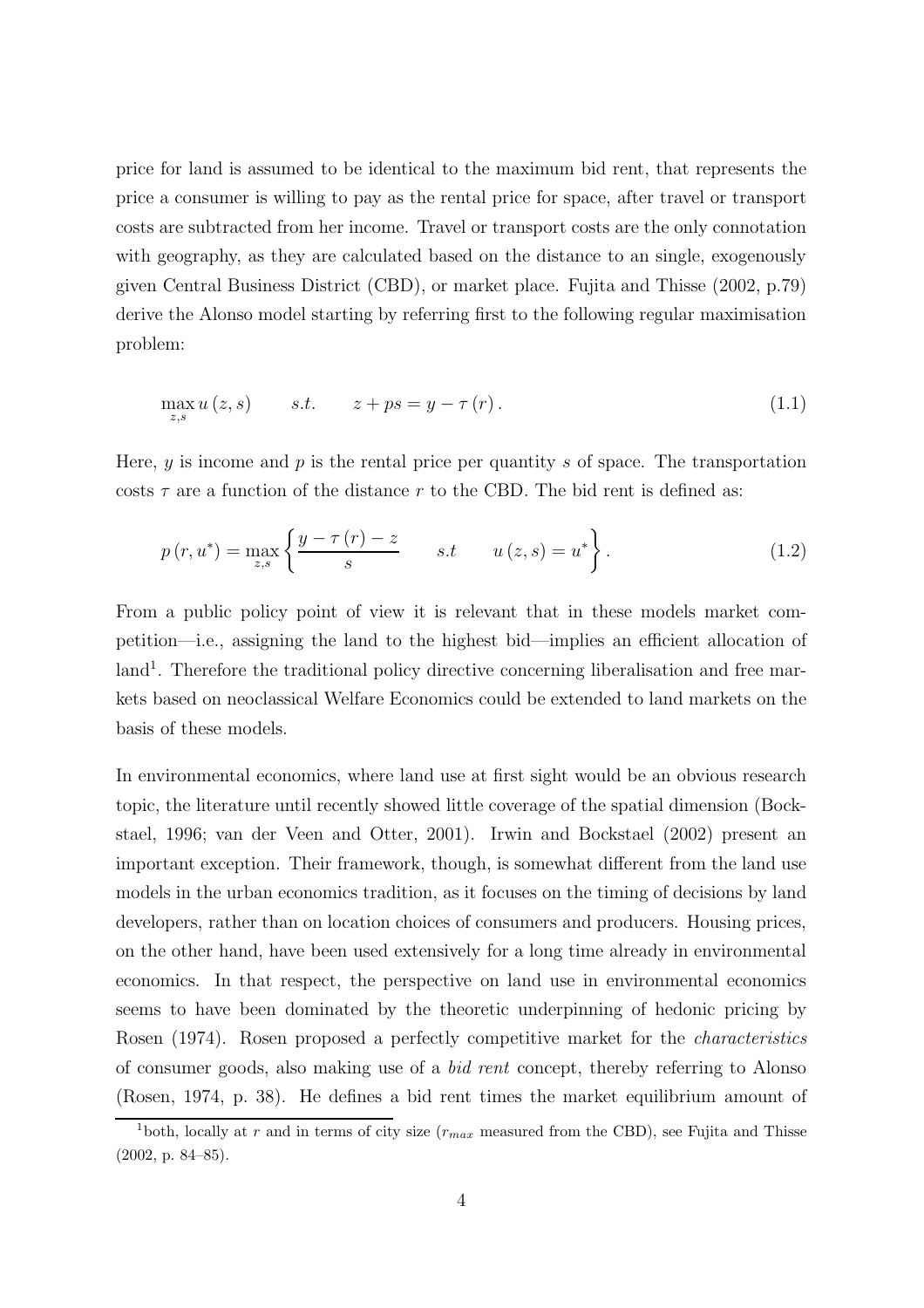price for land is assumed to be identical to the maximum bid rent, that represents the price a consumer is willing to pay as the rental price for space, after travel or transport costs are subtracted from her income. Travel or transport costs are the only connotation with geography, as they are calculated based on the distance to an single, exogenously given Central Business District (CBD), or market place. Fujita and Thisse (2002, p.79) derive the Alonso model starting by referring first to the following regular maximisation problem:

$$
\max_{z,s} u(z,s) \qquad s.t. \qquad z + ps = y - \tau(r). \tag{1.1}
$$

Here,  $y$  is income and  $p$  is the rental price per quantity  $s$  of space. The transportation costs  $\tau$  are a function of the distance r to the CBD. The bid rent is defined as:

$$
p(r, u^*) = \max_{z, s} \left\{ \frac{y - \tau(r) - z}{s} \quad s.t \quad u(z, s) = u^* \right\}.
$$
 (1.2)

From a public policy point of view it is relevant that in these models market competition—i.e., assigning the land to the highest bid—implies an efficient allocation of land<sup>1</sup>. Therefore the traditional policy directive concerning liberalisation and free markets based on neoclassical Welfare Economics could be extended to land markets on the basis of these models.

In environmental economics, where land use at first sight would be an obvious research topic, the literature until recently showed little coverage of the spatial dimension (Bockstael, 1996; van der Veen and Otter, 2001). Irwin and Bockstael (2002) present an important exception. Their framework, though, is somewhat different from the land use models in the urban economics tradition, as it focuses on the timing of decisions by land developers, rather than on location choices of consumers and producers. Housing prices, on the other hand, have been used extensively for a long time already in environmental economics. In that respect, the perspective on land use in environmental economics seems to have been dominated by the theoretic underpinning of hedonic pricing by Rosen (1974). Rosen proposed a perfectly competitive market for the characteristics of consumer goods, also making use of a bid rent concept, thereby referring to Alonso (Rosen, 1974, p. 38). He defines a bid rent times the market equilibrium amount of

<sup>&</sup>lt;sup>1</sup>both, locally at r and in terms of city size ( $r_{max}$  measured from the CBD), see Fujita and Thisse (2002, p. 84–85).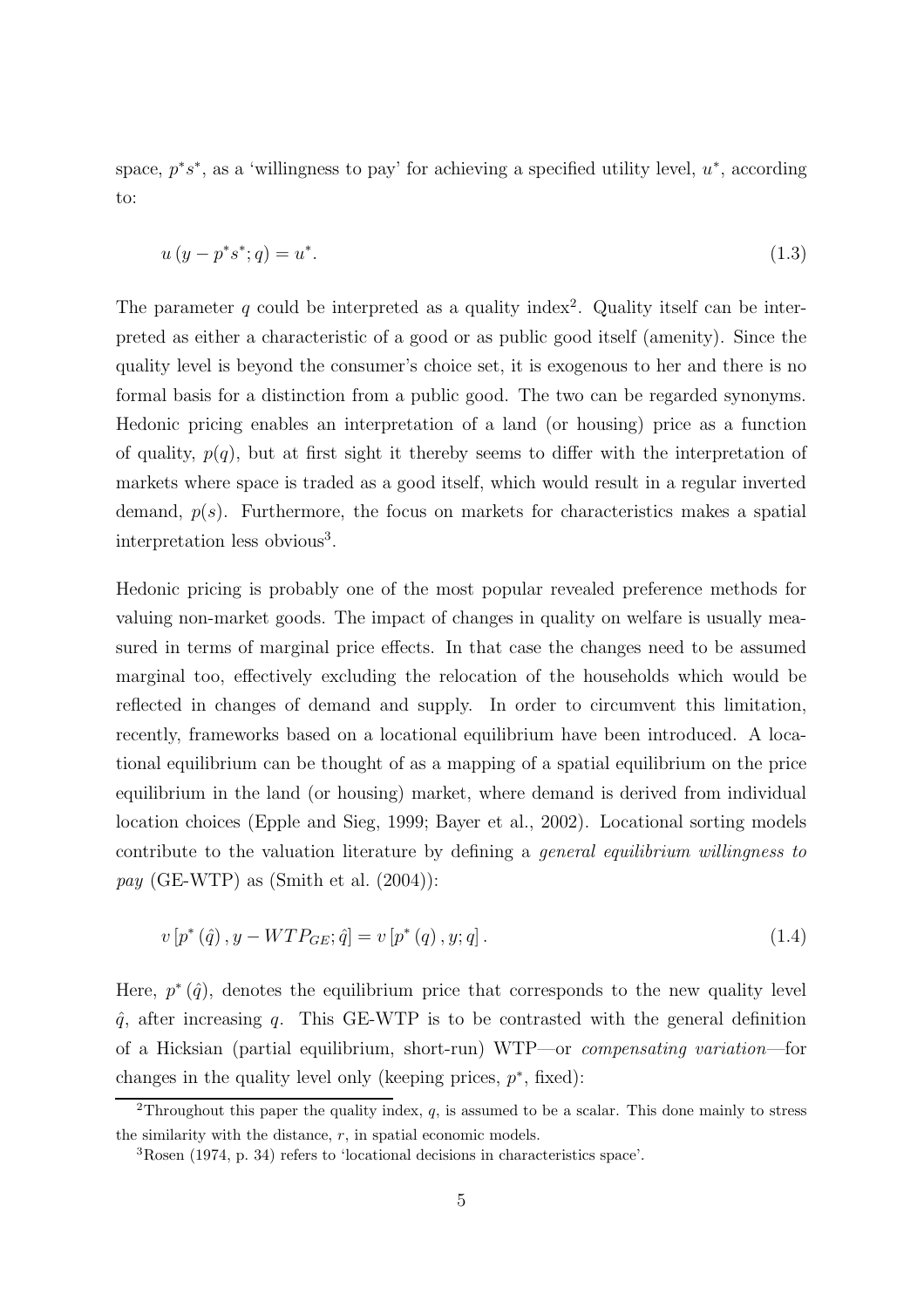space,  $p^*s^*$ , as a 'willingness to pay' for achieving a specified utility level,  $u^*$ , according to:

$$
u(y - p^*s^*; q) = u^*.
$$
\n(1.3)

The parameter q could be interpreted as a quality index<sup>2</sup>. Quality itself can be interpreted as either a characteristic of a good or as public good itself (amenity). Since the quality level is beyond the consumer's choice set, it is exogenous to her and there is no formal basis for a distinction from a public good. The two can be regarded synonyms. Hedonic pricing enables an interpretation of a land (or housing) price as a function of quality,  $p(q)$ , but at first sight it thereby seems to differ with the interpretation of markets where space is traded as a good itself, which would result in a regular inverted demand,  $p(s)$ . Furthermore, the focus on markets for characteristics makes a spatial interpretation less obvious<sup>3</sup>.

Hedonic pricing is probably one of the most popular revealed preference methods for valuing non-market goods. The impact of changes in quality on welfare is usually measured in terms of marginal price effects. In that case the changes need to be assumed marginal too, effectively excluding the relocation of the households which would be reflected in changes of demand and supply. In order to circumvent this limitation, recently, frameworks based on a locational equilibrium have been introduced. A locational equilibrium can be thought of as a mapping of a spatial equilibrium on the price equilibrium in the land (or housing) market, where demand is derived from individual location choices (Epple and Sieg, 1999; Bayer et al., 2002). Locational sorting models contribute to the valuation literature by defining a general equilibrium willingness to *pay* (GE-WTP) as (Smith et al.  $(2004)$ ):

$$
v[p^*(\hat{q}), y - WTP_{GE}; \hat{q}] = v[p^*(q), y; q].
$$
\n(1.4)

Here,  $p^*(\hat{q})$ , denotes the equilibrium price that corresponds to the new quality level  $\hat{q}$ , after increasing q. This GE-WTP is to be contrasted with the general definition of a Hicksian (partial equilibrium, short-run) WTP—or compensating variation—for changes in the quality level only (keeping prices,  $p^*$ , fixed):

<sup>&</sup>lt;sup>2</sup>Throughout this paper the quality index,  $q$ , is assumed to be a scalar. This done mainly to stress the similarity with the distance,  $r$ , in spatial economic models.

<sup>3</sup>Rosen (1974, p. 34) refers to 'locational decisions in characteristics space'.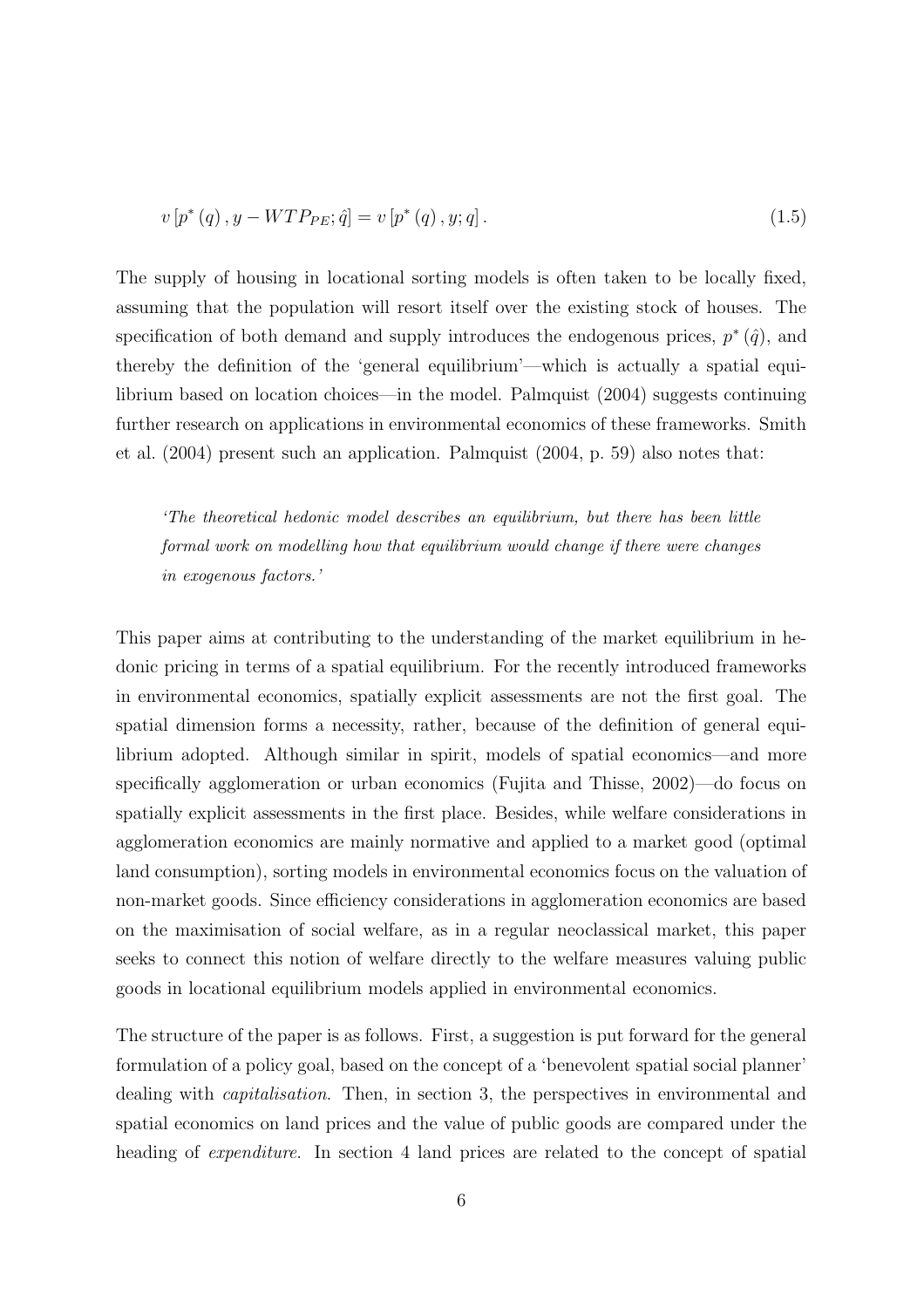$$
v[p^*(q), y - WTP_{PE}; \hat{q}] = v[p^*(q), y; q].
$$
\n(1.5)

The supply of housing in locational sorting models is often taken to be locally fixed, assuming that the population will resort itself over the existing stock of houses. The specification of both demand and supply introduces the endogenous prices,  $p^*(\hat{q})$ , and thereby the definition of the 'general equilibrium'—which is actually a spatial equilibrium based on location choices—in the model. Palmquist (2004) suggests continuing further research on applications in environmental economics of these frameworks. Smith et al. (2004) present such an application. Palmquist (2004, p. 59) also notes that:

'The theoretical hedonic model describes an equilibrium, but there has been little formal work on modelling how that equilibrium would change if there were changes in exogenous factors.'

This paper aims at contributing to the understanding of the market equilibrium in hedonic pricing in terms of a spatial equilibrium. For the recently introduced frameworks in environmental economics, spatially explicit assessments are not the first goal. The spatial dimension forms a necessity, rather, because of the definition of general equilibrium adopted. Although similar in spirit, models of spatial economics—and more specifically agglomeration or urban economics (Fujita and Thisse, 2002)—do focus on spatially explicit assessments in the first place. Besides, while welfare considerations in agglomeration economics are mainly normative and applied to a market good (optimal land consumption), sorting models in environmental economics focus on the valuation of non-market goods. Since efficiency considerations in agglomeration economics are based on the maximisation of social welfare, as in a regular neoclassical market, this paper seeks to connect this notion of welfare directly to the welfare measures valuing public goods in locational equilibrium models applied in environmental economics.

The structure of the paper is as follows. First, a suggestion is put forward for the general formulation of a policy goal, based on the concept of a 'benevolent spatial social planner' dealing with capitalisation. Then, in section 3, the perspectives in environmental and spatial economics on land prices and the value of public goods are compared under the heading of *expenditure*. In section 4 land prices are related to the concept of spatial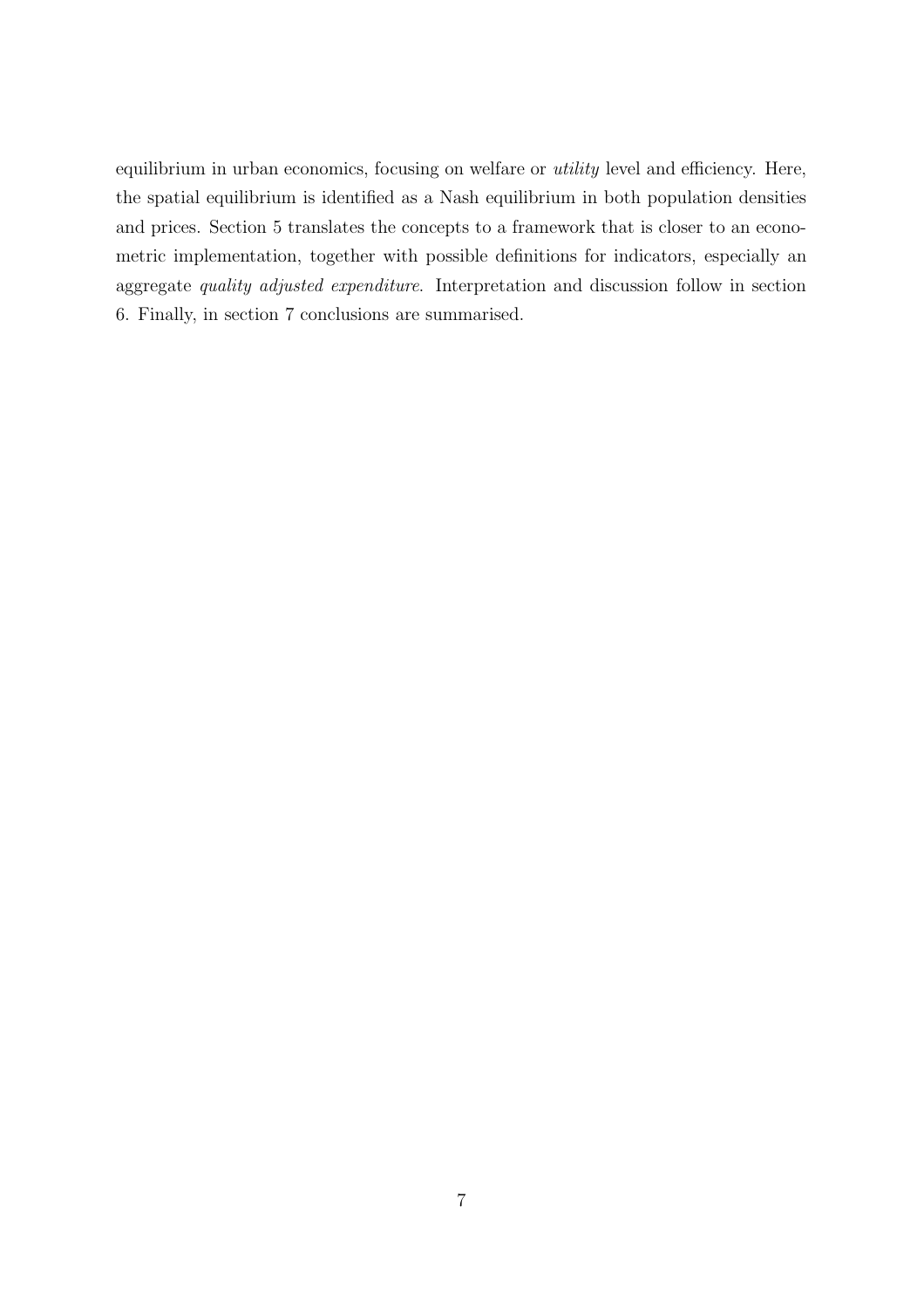equilibrium in urban economics, focusing on welfare or utility level and efficiency. Here, the spatial equilibrium is identified as a Nash equilibrium in both population densities and prices. Section 5 translates the concepts to a framework that is closer to an econometric implementation, together with possible definitions for indicators, especially an aggregate quality adjusted expenditure. Interpretation and discussion follow in section 6. Finally, in section 7 conclusions are summarised.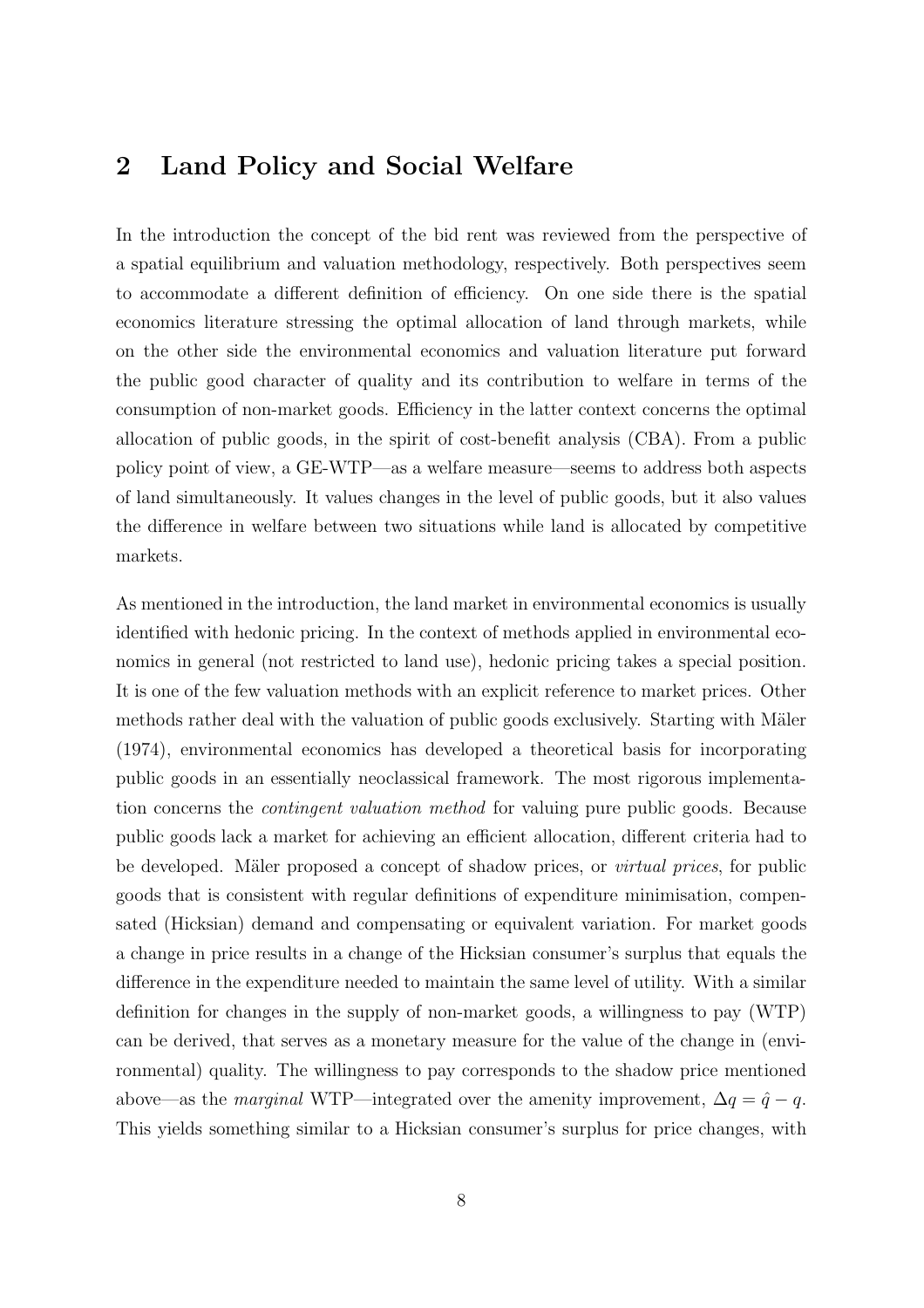### 2 Land Policy and Social Welfare

In the introduction the concept of the bid rent was reviewed from the perspective of a spatial equilibrium and valuation methodology, respectively. Both perspectives seem to accommodate a different definition of efficiency. On one side there is the spatial economics literature stressing the optimal allocation of land through markets, while on the other side the environmental economics and valuation literature put forward the public good character of quality and its contribution to welfare in terms of the consumption of non-market goods. Efficiency in the latter context concerns the optimal allocation of public goods, in the spirit of cost-benefit analysis (CBA). From a public policy point of view, a GE-WTP—as a welfare measure—seems to address both aspects of land simultaneously. It values changes in the level of public goods, but it also values the difference in welfare between two situations while land is allocated by competitive markets.

As mentioned in the introduction, the land market in environmental economics is usually identified with hedonic pricing. In the context of methods applied in environmental economics in general (not restricted to land use), hedonic pricing takes a special position. It is one of the few valuation methods with an explicit reference to market prices. Other methods rather deal with the valuation of public goods exclusively. Starting with Mäler (1974), environmental economics has developed a theoretical basis for incorporating public goods in an essentially neoclassical framework. The most rigorous implementation concerns the contingent valuation method for valuing pure public goods. Because public goods lack a market for achieving an efficient allocation, different criteria had to be developed. Mäler proposed a concept of shadow prices, or *virtual prices*, for public goods that is consistent with regular definitions of expenditure minimisation, compensated (Hicksian) demand and compensating or equivalent variation. For market goods a change in price results in a change of the Hicksian consumer's surplus that equals the difference in the expenditure needed to maintain the same level of utility. With a similar definition for changes in the supply of non-market goods, a willingness to pay (WTP) can be derived, that serves as a monetary measure for the value of the change in (environmental) quality. The willingness to pay corresponds to the shadow price mentioned above—as the *marginal* WTP—integrated over the amenity improvement,  $\Delta q = \hat{q} - q$ . This yields something similar to a Hicksian consumer's surplus for price changes, with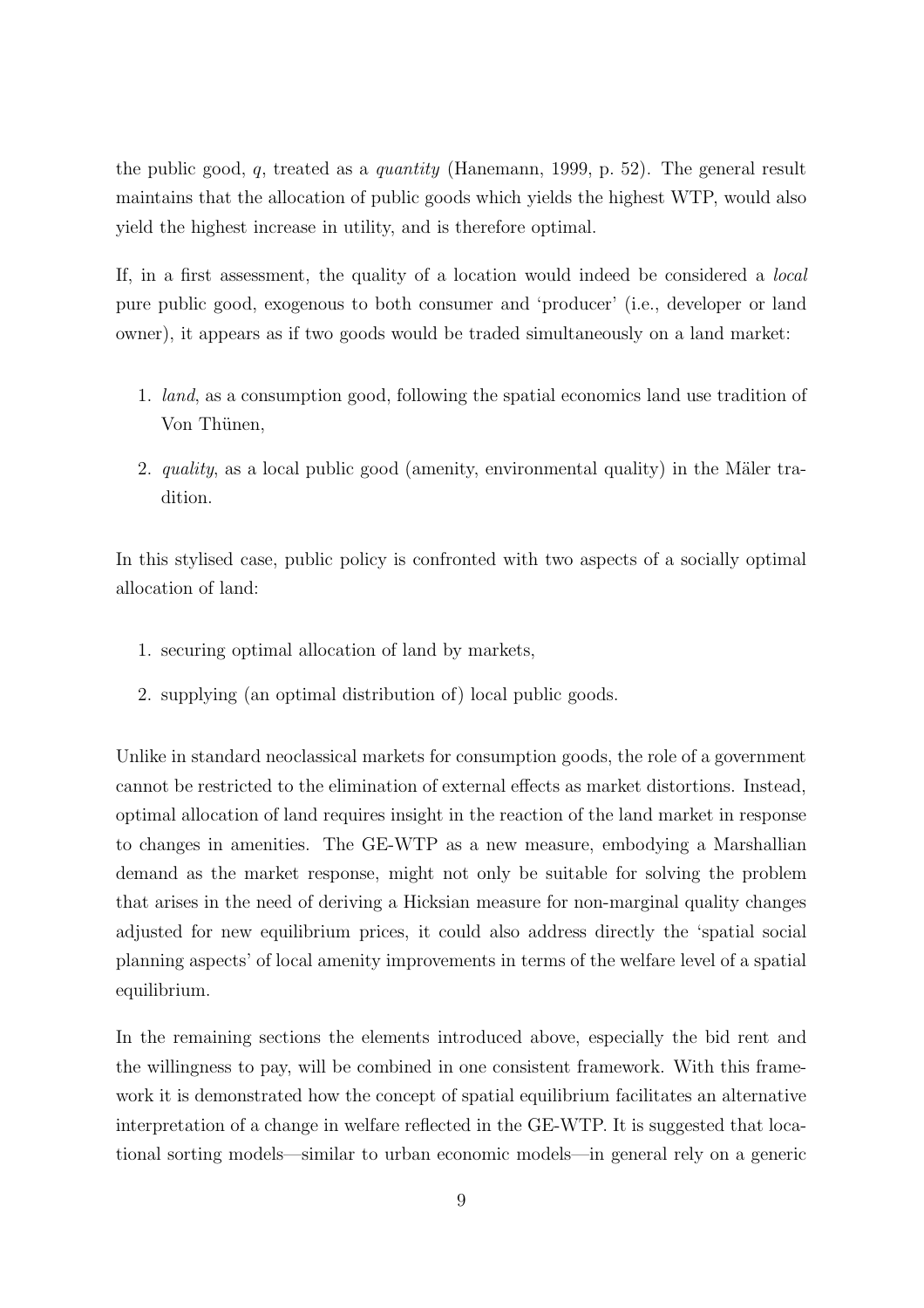the public good,  $q$ , treated as a *quantity* (Hanemann, 1999, p. 52). The general result maintains that the allocation of public goods which yields the highest WTP, would also yield the highest increase in utility, and is therefore optimal.

If, in a first assessment, the quality of a location would indeed be considered a local pure public good, exogenous to both consumer and 'producer' (i.e., developer or land owner), it appears as if two goods would be traded simultaneously on a land market:

- 1. land, as a consumption good, following the spatial economics land use tradition of Von Thünen,
- 2. quality, as a local public good (amenity, environmental quality) in the Mäler tradition.

In this stylised case, public policy is confronted with two aspects of a socially optimal allocation of land:

- 1. securing optimal allocation of land by markets,
- 2. supplying (an optimal distribution of) local public goods.

Unlike in standard neoclassical markets for consumption goods, the role of a government cannot be restricted to the elimination of external effects as market distortions. Instead, optimal allocation of land requires insight in the reaction of the land market in response to changes in amenities. The GE-WTP as a new measure, embodying a Marshallian demand as the market response, might not only be suitable for solving the problem that arises in the need of deriving a Hicksian measure for non-marginal quality changes adjusted for new equilibrium prices, it could also address directly the 'spatial social planning aspects' of local amenity improvements in terms of the welfare level of a spatial equilibrium.

In the remaining sections the elements introduced above, especially the bid rent and the willingness to pay, will be combined in one consistent framework. With this framework it is demonstrated how the concept of spatial equilibrium facilitates an alternative interpretation of a change in welfare reflected in the GE-WTP. It is suggested that locational sorting models—similar to urban economic models—in general rely on a generic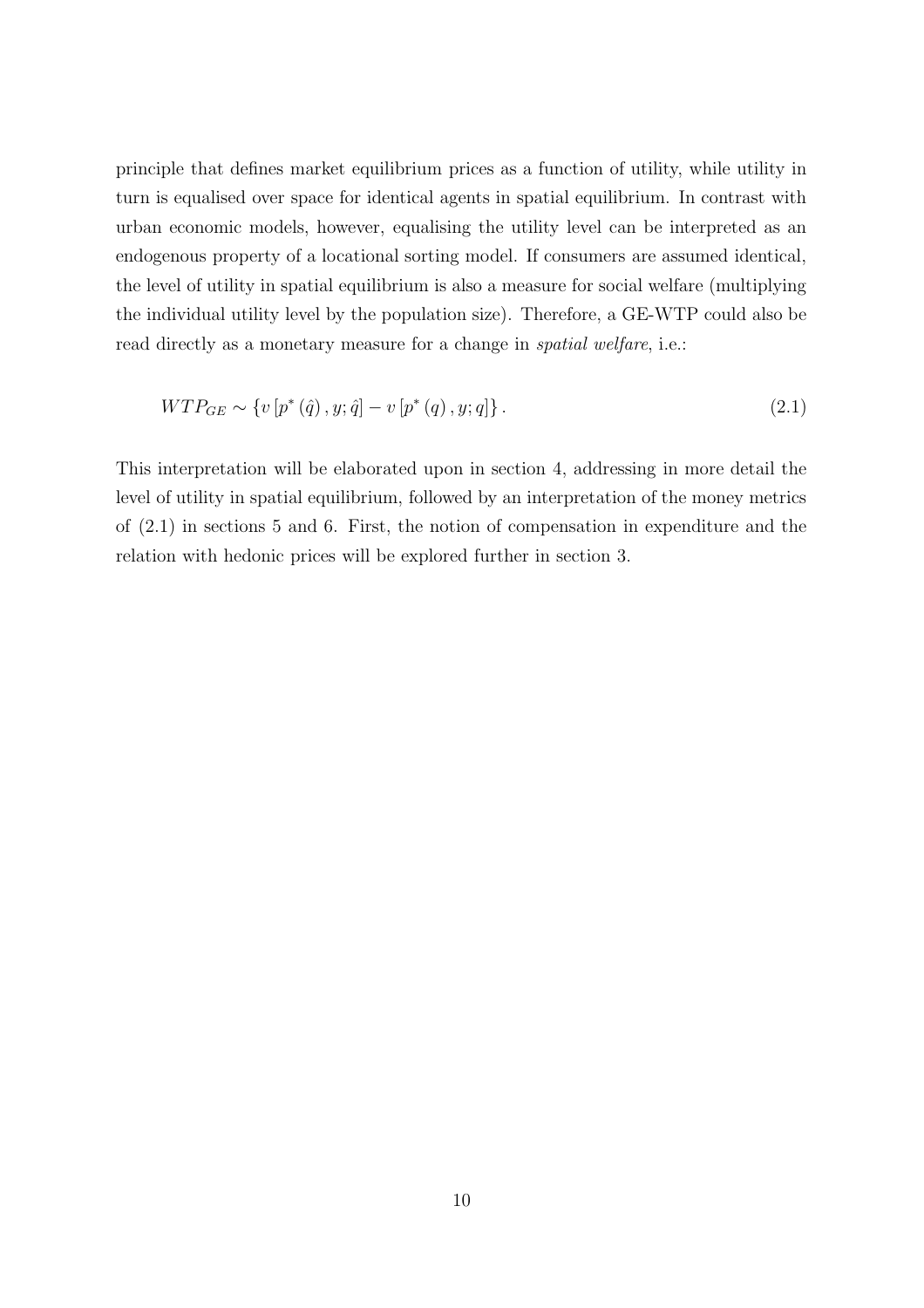principle that defines market equilibrium prices as a function of utility, while utility in turn is equalised over space for identical agents in spatial equilibrium. In contrast with urban economic models, however, equalising the utility level can be interpreted as an endogenous property of a locational sorting model. If consumers are assumed identical, the level of utility in spatial equilibrium is also a measure for social welfare (multiplying the individual utility level by the population size). Therefore, a GE-WTP could also be read directly as a monetary measure for a change in *spatial welfare*, i.e.:

$$
WTP_{GE} \sim \{v[p^*(\hat{q}), y; \hat{q}] - v[p^*(q), y; q]\}.
$$
\n(2.1)

This interpretation will be elaborated upon in section 4, addressing in more detail the level of utility in spatial equilibrium, followed by an interpretation of the money metrics of (2.1) in sections 5 and 6. First, the notion of compensation in expenditure and the relation with hedonic prices will be explored further in section 3.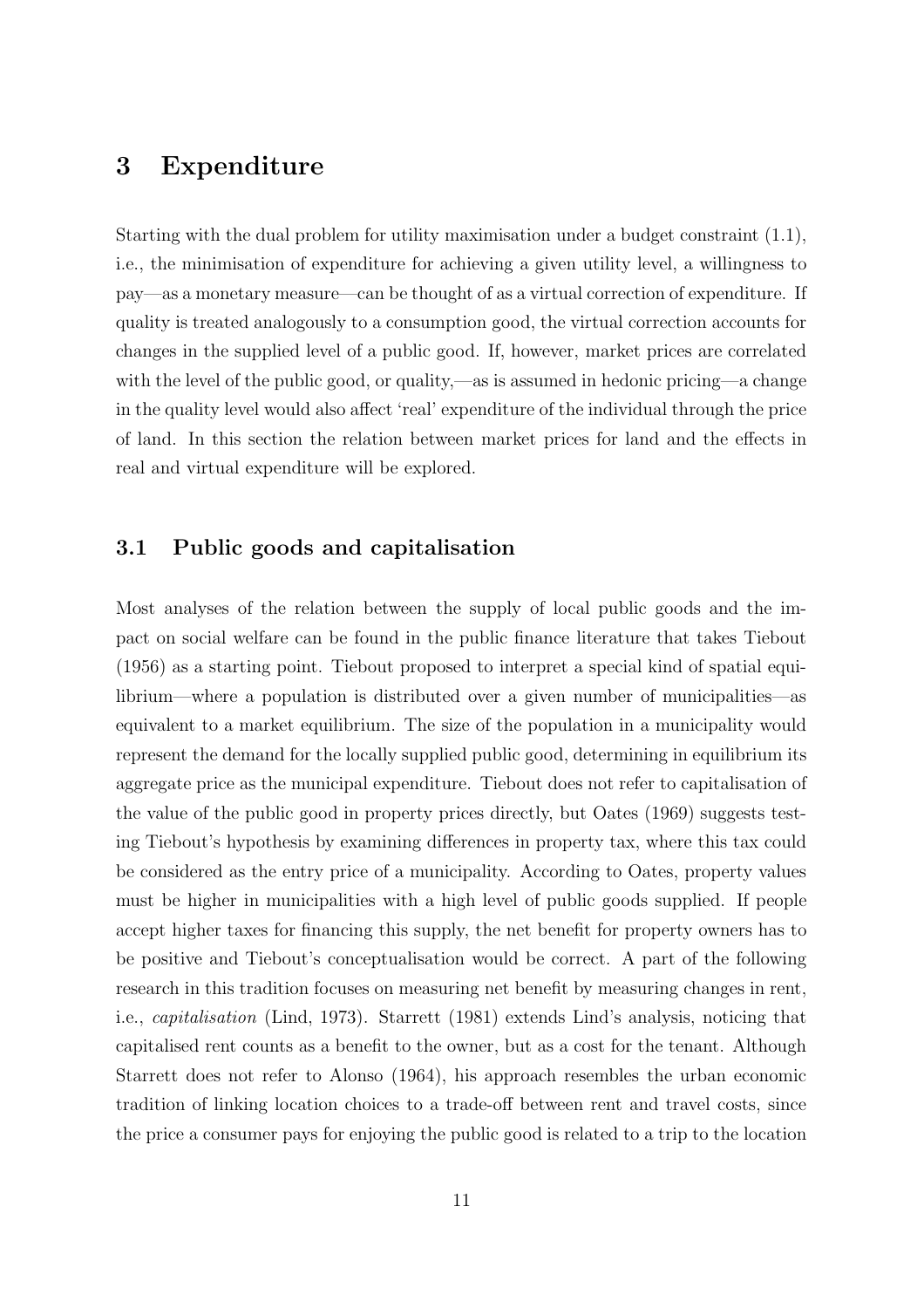### 3 Expenditure

Starting with the dual problem for utility maximisation under a budget constraint (1.1), i.e., the minimisation of expenditure for achieving a given utility level, a willingness to pay—as a monetary measure—can be thought of as a virtual correction of expenditure. If quality is treated analogously to a consumption good, the virtual correction accounts for changes in the supplied level of a public good. If, however, market prices are correlated with the level of the public good, or quality,—as is assumed in hedonic pricing—a change in the quality level would also affect 'real' expenditure of the individual through the price of land. In this section the relation between market prices for land and the effects in real and virtual expenditure will be explored.

#### 3.1 Public goods and capitalisation

Most analyses of the relation between the supply of local public goods and the impact on social welfare can be found in the public finance literature that takes Tiebout (1956) as a starting point. Tiebout proposed to interpret a special kind of spatial equilibrium—where a population is distributed over a given number of municipalities—as equivalent to a market equilibrium. The size of the population in a municipality would represent the demand for the locally supplied public good, determining in equilibrium its aggregate price as the municipal expenditure. Tiebout does not refer to capitalisation of the value of the public good in property prices directly, but Oates (1969) suggests testing Tiebout's hypothesis by examining differences in property tax, where this tax could be considered as the entry price of a municipality. According to Oates, property values must be higher in municipalities with a high level of public goods supplied. If people accept higher taxes for financing this supply, the net benefit for property owners has to be positive and Tiebout's conceptualisation would be correct. A part of the following research in this tradition focuses on measuring net benefit by measuring changes in rent, i.e., capitalisation (Lind, 1973). Starrett (1981) extends Lind's analysis, noticing that capitalised rent counts as a benefit to the owner, but as a cost for the tenant. Although Starrett does not refer to Alonso (1964), his approach resembles the urban economic tradition of linking location choices to a trade-off between rent and travel costs, since the price a consumer pays for enjoying the public good is related to a trip to the location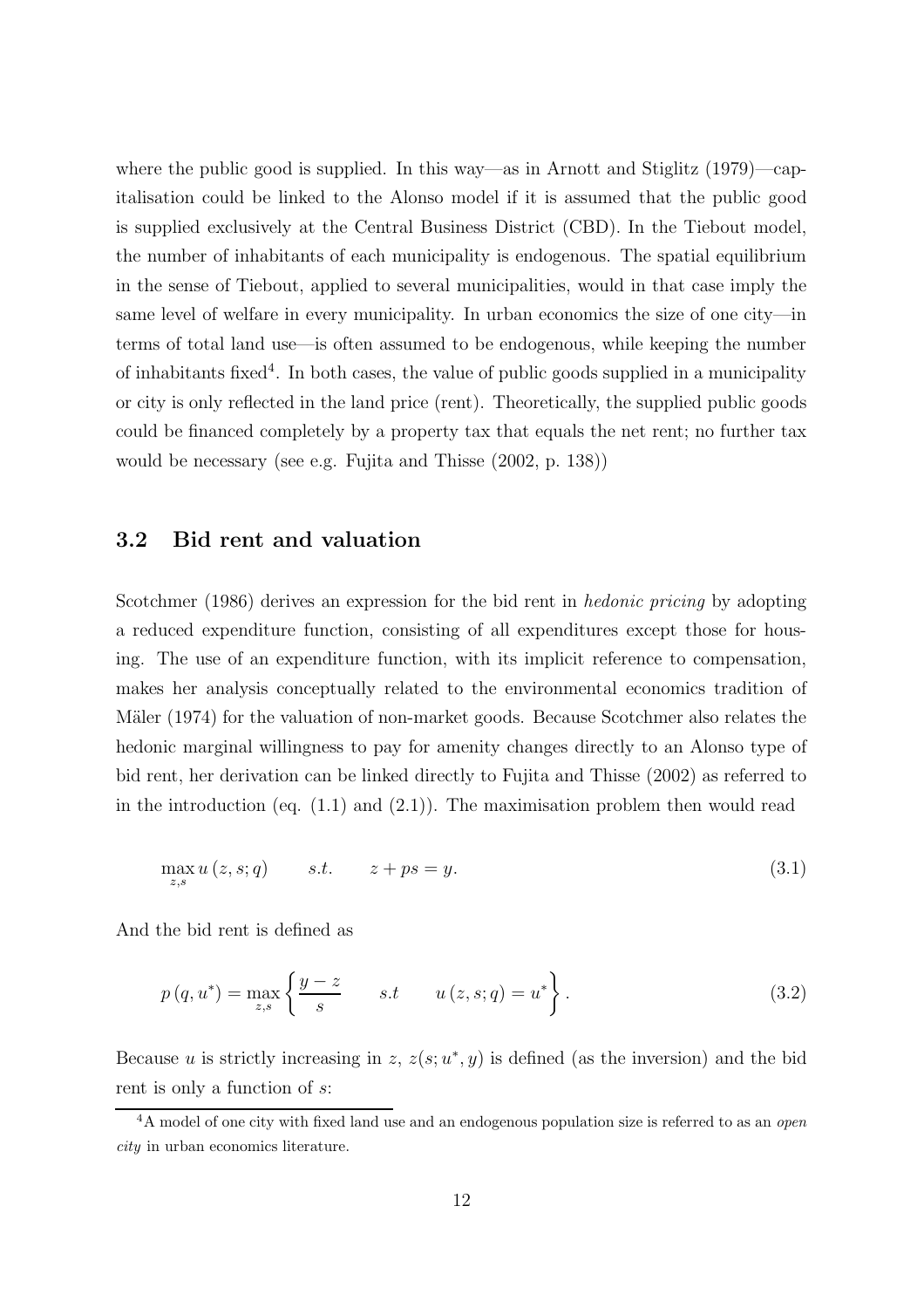where the public good is supplied. In this way—as in Arnott and Stiglitz (1979)—capitalisation could be linked to the Alonso model if it is assumed that the public good is supplied exclusively at the Central Business District (CBD). In the Tiebout model, the number of inhabitants of each municipality is endogenous. The spatial equilibrium in the sense of Tiebout, applied to several municipalities, would in that case imply the same level of welfare in every municipality. In urban economics the size of one city—in terms of total land use—is often assumed to be endogenous, while keeping the number of inhabitants fixed<sup>4</sup>. In both cases, the value of public goods supplied in a municipality or city is only reflected in the land price (rent). Theoretically, the supplied public goods could be financed completely by a property tax that equals the net rent; no further tax would be necessary (see e.g. Fujita and Thisse (2002, p. 138))

### 3.2 Bid rent and valuation

Scotchmer (1986) derives an expression for the bid rent in *hedonic pricing* by adopting a reduced expenditure function, consisting of all expenditures except those for housing. The use of an expenditure function, with its implicit reference to compensation, makes her analysis conceptually related to the environmental economics tradition of Mäler (1974) for the valuation of non-market goods. Because Scotchmer also relates the hedonic marginal willingness to pay for amenity changes directly to an Alonso type of bid rent, her derivation can be linked directly to Fujita and Thisse (2002) as referred to in the introduction (eq.  $(1.1)$  and  $(2.1)$ ). The maximisation problem then would read

$$
\max_{z,s} u(z,s;q) \qquad s.t. \qquad z+ps=y. \tag{3.1}
$$

And the bid rent is defined as

$$
p(q, u^*) = \max_{z, s} \left\{ \frac{y - z}{s} \quad s.t \quad u(z, s; q) = u^* \right\}.
$$
 (3.2)

Because u is strictly increasing in z,  $z(s; u^*, y)$  is defined (as the inversion) and the bid rent is only a function of s:

<sup>&</sup>lt;sup>4</sup>A model of one city with fixed land use and an endogenous population size is referred to as an *open* city in urban economics literature.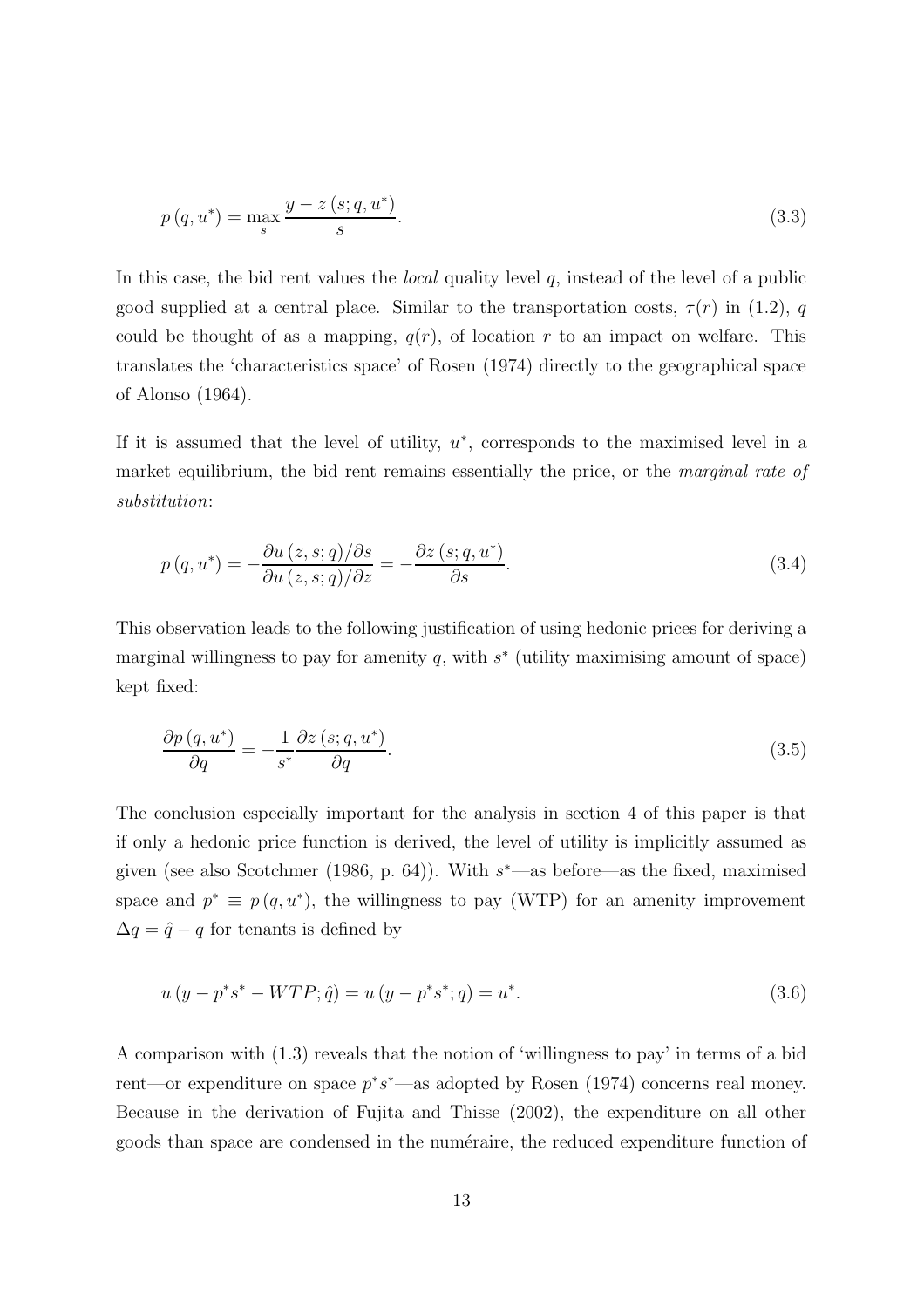$$
p(q, u^*) = \max_{s} \frac{y - z(s; q, u^*)}{s}.
$$
\n(3.3)

In this case, the bid rent values the *local* quality level  $q$ , instead of the level of a public good supplied at a central place. Similar to the transportation costs,  $\tau(r)$  in (1.2), q could be thought of as a mapping,  $q(r)$ , of location r to an impact on welfare. This translates the 'characteristics space' of Rosen (1974) directly to the geographical space of Alonso (1964).

If it is assumed that the level of utility,  $u^*$ , corresponds to the maximised level in a market equilibrium, the bid rent remains essentially the price, or the marginal rate of substitution:

$$
p(q, u^*) = -\frac{\partial u(z, s; q)/\partial s}{\partial u(z, s; q)/\partial z} = -\frac{\partial z(s; q, u^*)}{\partial s}.
$$
\n(3.4)

This observation leads to the following justification of using hedonic prices for deriving a marginal willingness to pay for amenity  $q$ , with  $s^*$  (utility maximising amount of space) kept fixed:

$$
\frac{\partial p(q, u^*)}{\partial q} = -\frac{1}{s^*} \frac{\partial z(s; q, u^*)}{\partial q}.
$$
\n(3.5)

The conclusion especially important for the analysis in section 4 of this paper is that if only a hedonic price function is derived, the level of utility is implicitly assumed as given (see also Scotchmer (1986, p. 64)). With  $s^*$ —as before—as the fixed, maximised space and  $p^* \equiv p(q, u^*)$ , the willingness to pay (WTP) for an amenity improvement  $\Delta q = \hat{q} - q$  for tenants is defined by

$$
u(y - p^*s^* - WTP; \hat{q}) = u(y - p^*s^*; q) = u^*.
$$
\n(3.6)

A comparison with (1.3) reveals that the notion of 'willingness to pay' in terms of a bid rent—or expenditure on space  $p^*s^*$ —as adopted by Rosen (1974) concerns real money. Because in the derivation of Fujita and Thisse (2002), the expenditure on all other goods than space are condensed in the numéraire, the reduced expenditure function of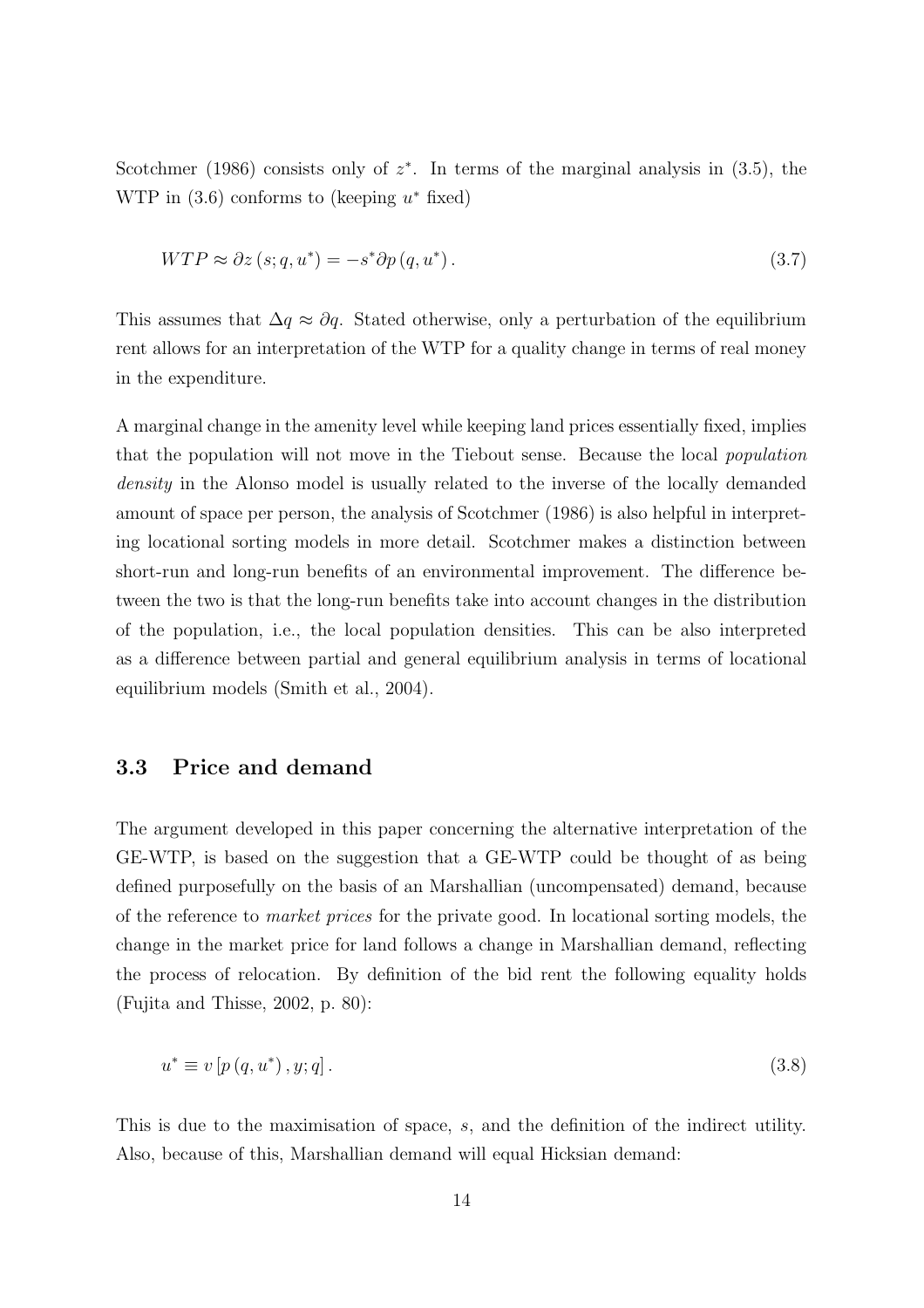Scotchmer (1986) consists only of  $z^*$ . In terms of the marginal analysis in (3.5), the WTP in  $(3.6)$  conforms to (keeping  $u^*$  fixed)

$$
WTP \approx \partial z \left( s; q, u^* \right) = -s^* \partial p \left( q, u^* \right). \tag{3.7}
$$

This assumes that  $\Delta q \approx \partial q$ . Stated otherwise, only a perturbation of the equilibrium rent allows for an interpretation of the WTP for a quality change in terms of real money in the expenditure.

A marginal change in the amenity level while keeping land prices essentially fixed, implies that the population will not move in the Tiebout sense. Because the local population density in the Alonso model is usually related to the inverse of the locally demanded amount of space per person, the analysis of Scotchmer (1986) is also helpful in interpreting locational sorting models in more detail. Scotchmer makes a distinction between short-run and long-run benefits of an environmental improvement. The difference between the two is that the long-run benefits take into account changes in the distribution of the population, i.e., the local population densities. This can be also interpreted as a difference between partial and general equilibrium analysis in terms of locational equilibrium models (Smith et al., 2004).

#### 3.3 Price and demand

The argument developed in this paper concerning the alternative interpretation of the GE-WTP, is based on the suggestion that a GE-WTP could be thought of as being defined purposefully on the basis of an Marshallian (uncompensated) demand, because of the reference to market prices for the private good. In locational sorting models, the change in the market price for land follows a change in Marshallian demand, reflecting the process of relocation. By definition of the bid rent the following equality holds (Fujita and Thisse, 2002, p. 80):

$$
u^* \equiv v[p(q, u^*), y; q]. \tag{3.8}
$$

This is due to the maximisation of space, s, and the definition of the indirect utility. Also, because of this, Marshallian demand will equal Hicksian demand: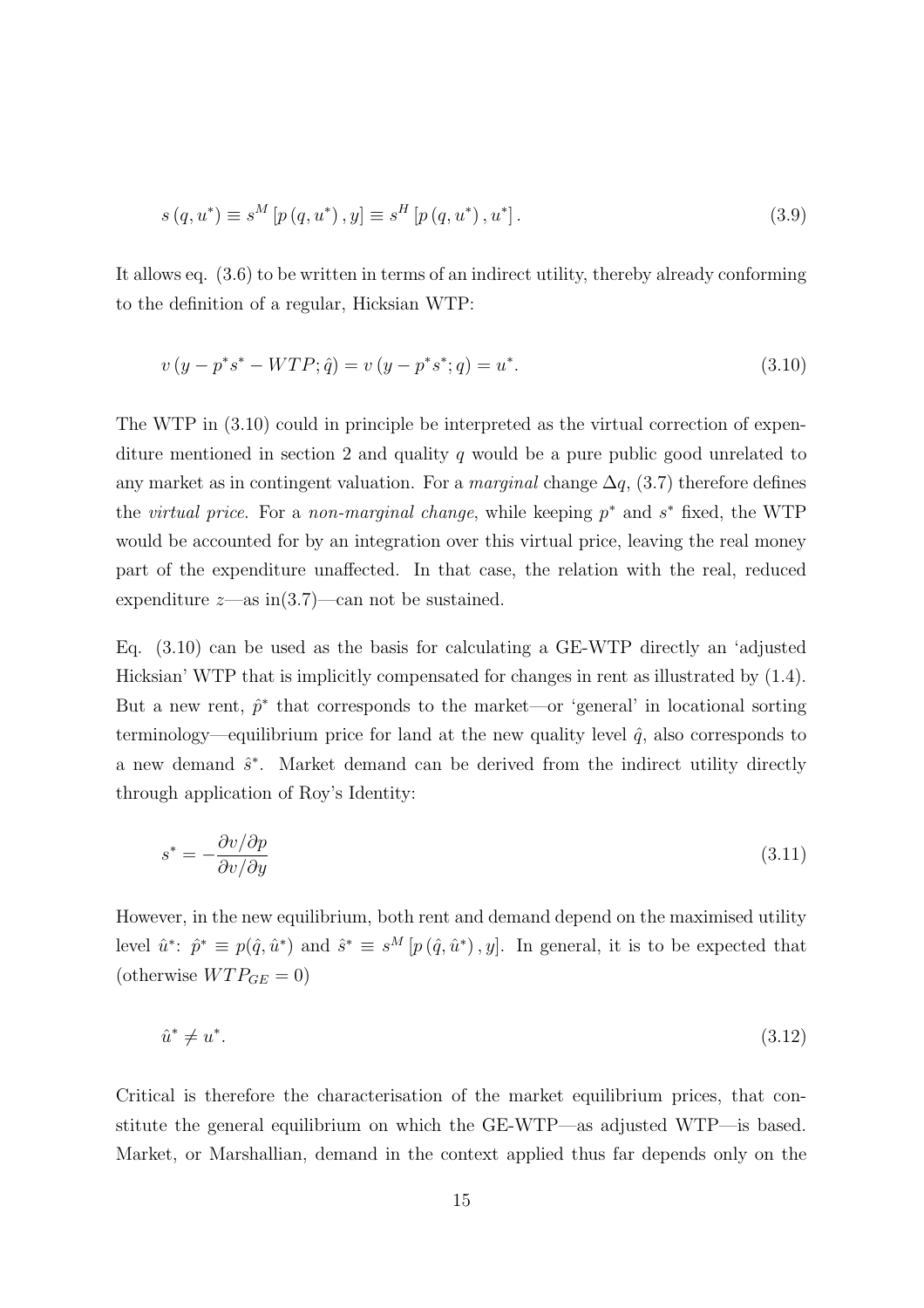$$
s(q, u^*) \equiv s^M \left[ p(q, u^*), y \right] \equiv s^H \left[ p(q, u^*), u^* \right]. \tag{3.9}
$$

It allows eq. (3.6) to be written in terms of an indirect utility, thereby already conforming to the definition of a regular, Hicksian WTP:

$$
v(y - p^*s^* - WTP; \hat{q}) = v(y - p^*s^*; q) = u^*.
$$
\n(3.10)

The WTP in (3.10) could in principle be interpreted as the virtual correction of expenditure mentioned in section 2 and quality  $q$  would be a pure public good unrelated to any market as in contingent valuation. For a *marginal* change  $\Delta q$ , (3.7) therefore defines the *virtual price*. For a *non-marginal change*, while keeping  $p^*$  and  $s^*$  fixed, the WTP would be accounted for by an integration over this virtual price, leaving the real money part of the expenditure unaffected. In that case, the relation with the real, reduced expenditure  $z$ —as in(3.7)—can not be sustained.

Eq. (3.10) can be used as the basis for calculating a GE-WTP directly an 'adjusted Hicksian' WTP that is implicitly compensated for changes in rent as illustrated by (1.4). But a new rent,  $\hat{p}^*$  that corresponds to the market—or 'general' in locational sorting terminology—equilibrium price for land at the new quality level  $\hat{q}$ , also corresponds to a new demand  $\hat{s}^*$ . Market demand can be derived from the indirect utility directly through application of Roy's Identity:

$$
s^* = -\frac{\partial v/\partial p}{\partial v/\partial y} \tag{3.11}
$$

However, in the new equilibrium, both rent and demand depend on the maximised utility level  $\hat{u}^*$ :  $\hat{p}^* \equiv p(\hat{q}, \hat{u}^*)$  and  $\hat{s}^* \equiv s^M[p(\hat{q}, \hat{u}^*)]$ . In general, it is to be expected that (otherwise  $WTP_{GE}=0$ )

$$
\hat{u}^* \neq u^*.\tag{3.12}
$$

Critical is therefore the characterisation of the market equilibrium prices, that constitute the general equilibrium on which the GE-WTP—as adjusted WTP—is based. Market, or Marshallian, demand in the context applied thus far depends only on the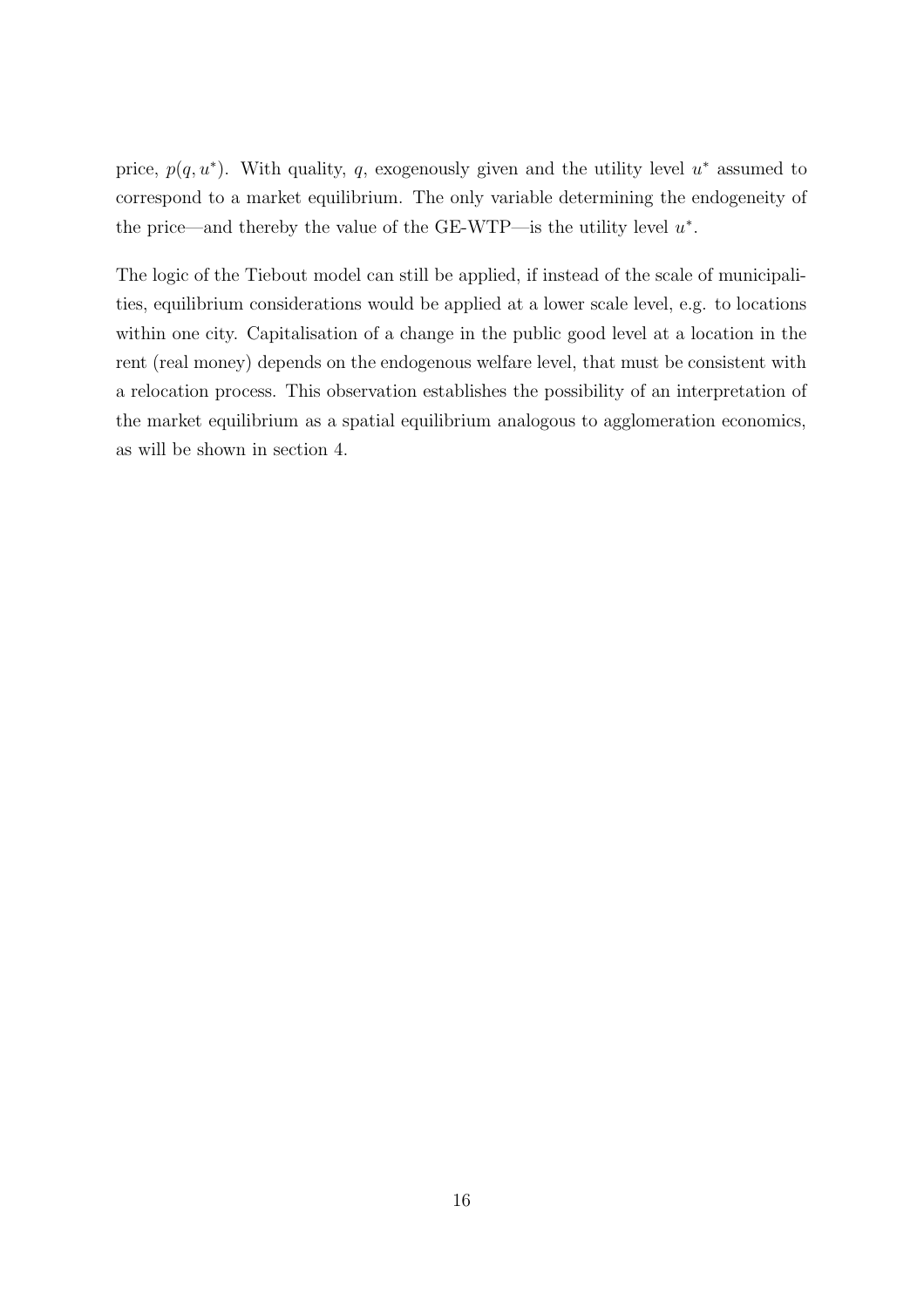price,  $p(q, u^*)$ . With quality, q, exogenously given and the utility level  $u^*$  assumed to correspond to a market equilibrium. The only variable determining the endogeneity of the price—and thereby the value of the GE-WTP—is the utility level  $u^*$ .

The logic of the Tiebout model can still be applied, if instead of the scale of municipalities, equilibrium considerations would be applied at a lower scale level, e.g. to locations within one city. Capitalisation of a change in the public good level at a location in the rent (real money) depends on the endogenous welfare level, that must be consistent with a relocation process. This observation establishes the possibility of an interpretation of the market equilibrium as a spatial equilibrium analogous to agglomeration economics, as will be shown in section 4.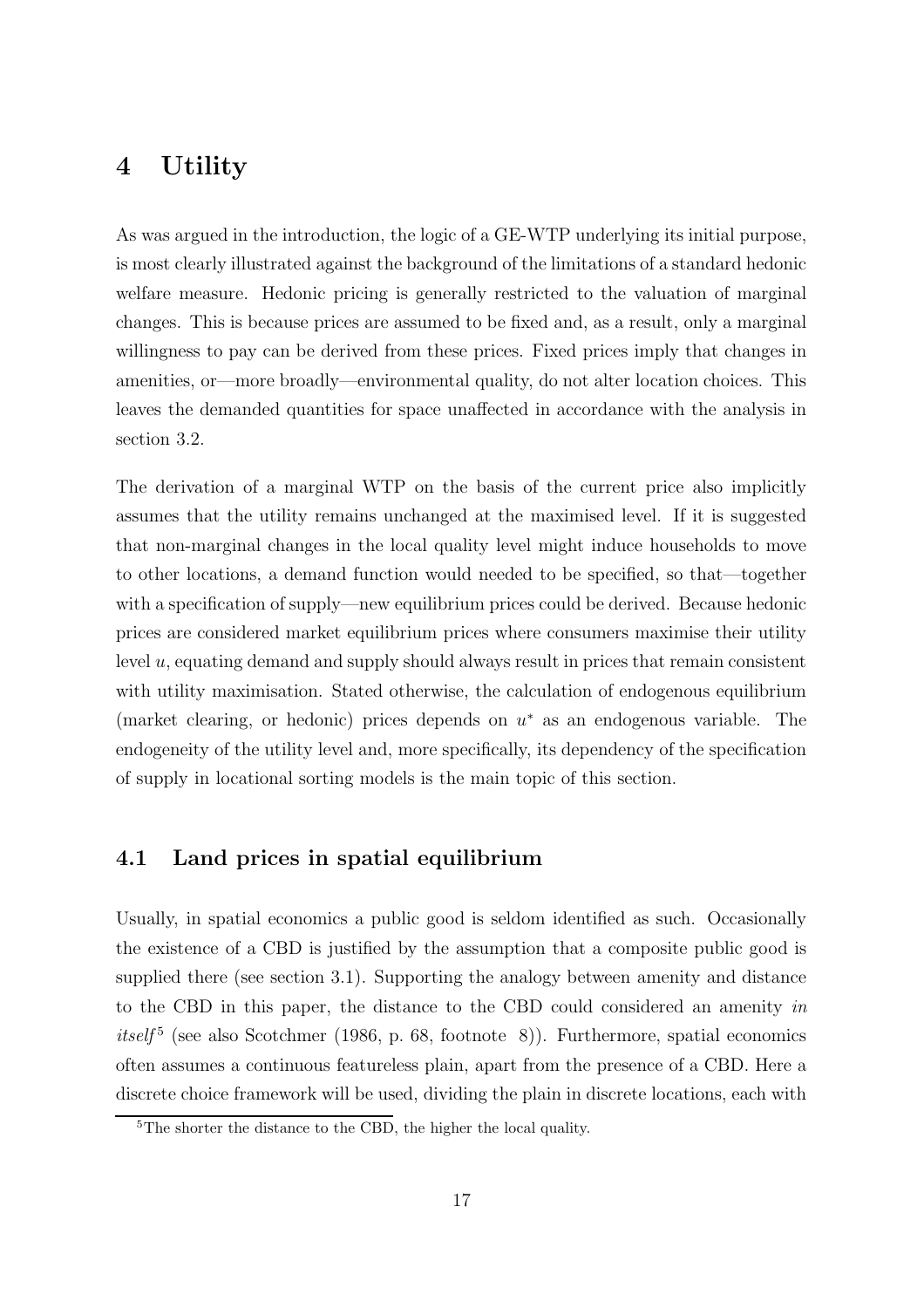### 4 Utility

As was argued in the introduction, the logic of a GE-WTP underlying its initial purpose, is most clearly illustrated against the background of the limitations of a standard hedonic welfare measure. Hedonic pricing is generally restricted to the valuation of marginal changes. This is because prices are assumed to be fixed and, as a result, only a marginal willingness to pay can be derived from these prices. Fixed prices imply that changes in amenities, or—more broadly—environmental quality, do not alter location choices. This leaves the demanded quantities for space unaffected in accordance with the analysis in section 3.2.

The derivation of a marginal WTP on the basis of the current price also implicitly assumes that the utility remains unchanged at the maximised level. If it is suggested that non-marginal changes in the local quality level might induce households to move to other locations, a demand function would needed to be specified, so that—together with a specification of supply—new equilibrium prices could be derived. Because hedonic prices are considered market equilibrium prices where consumers maximise their utility level u, equating demand and supply should always result in prices that remain consistent with utility maximisation. Stated otherwise, the calculation of endogenous equilibrium (market clearing, or hedonic) prices depends on  $u^*$  as an endogenous variable. The endogeneity of the utility level and, more specifically, its dependency of the specification of supply in locational sorting models is the main topic of this section.

### 4.1 Land prices in spatial equilibrium

Usually, in spatial economics a public good is seldom identified as such. Occasionally the existence of a CBD is justified by the assumption that a composite public good is supplied there (see section 3.1). Supporting the analogy between amenity and distance to the CBD in this paper, the distance to the CBD could considered an amenity in itself<sup>5</sup> (see also Scotchmer (1986, p. 68, footnote 8)). Furthermore, spatial economics often assumes a continuous featureless plain, apart from the presence of a CBD. Here a discrete choice framework will be used, dividing the plain in discrete locations, each with

<sup>5</sup>The shorter the distance to the CBD, the higher the local quality.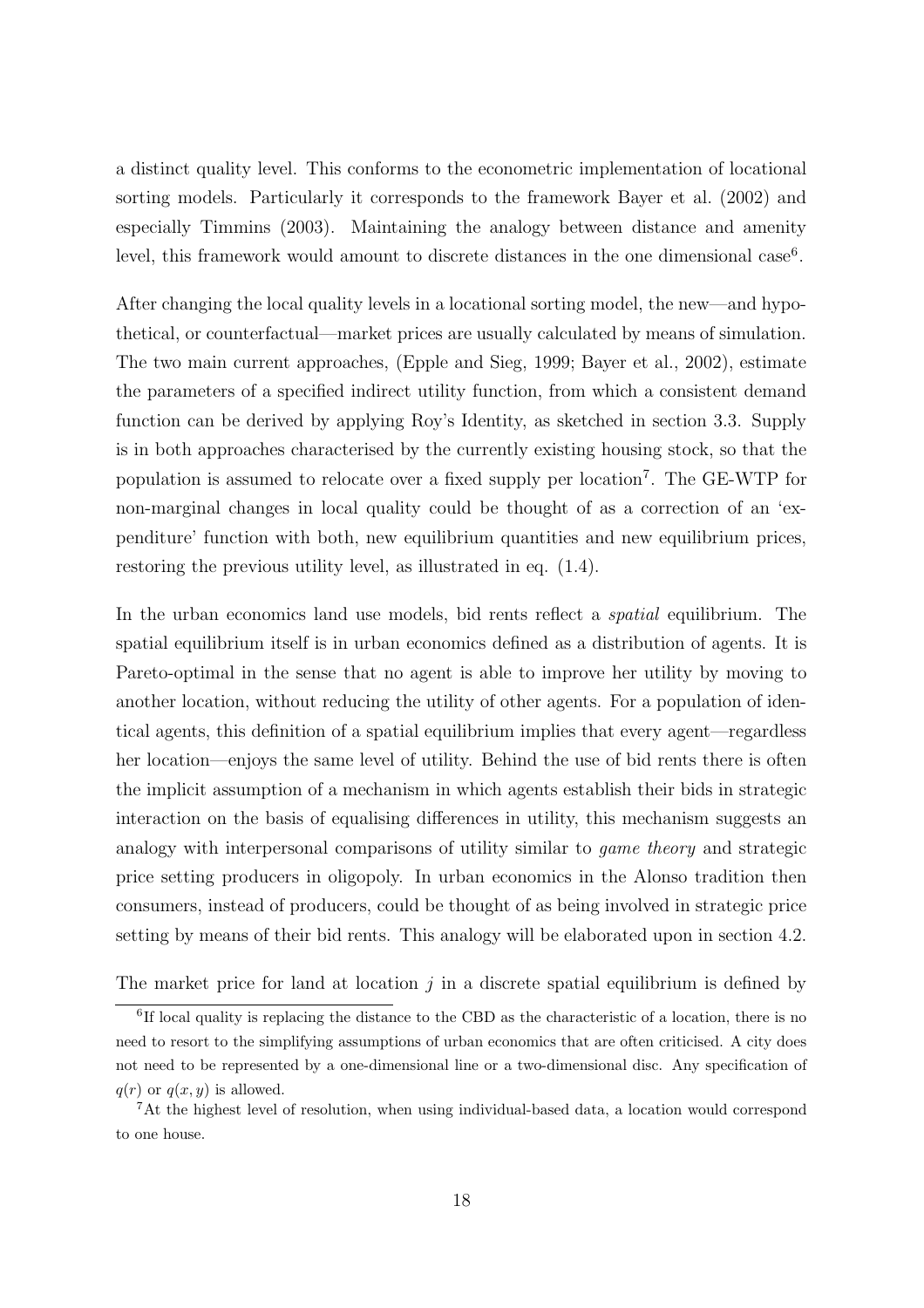a distinct quality level. This conforms to the econometric implementation of locational sorting models. Particularly it corresponds to the framework Bayer et al. (2002) and especially Timmins (2003). Maintaining the analogy between distance and amenity level, this framework would amount to discrete distances in the one dimensional case<sup>6</sup>.

After changing the local quality levels in a locational sorting model, the new—and hypothetical, or counterfactual—market prices are usually calculated by means of simulation. The two main current approaches, (Epple and Sieg, 1999; Bayer et al., 2002), estimate the parameters of a specified indirect utility function, from which a consistent demand function can be derived by applying Roy's Identity, as sketched in section 3.3. Supply is in both approaches characterised by the currently existing housing stock, so that the population is assumed to relocate over a fixed supply per location<sup>7</sup>. The GE-WTP for non-marginal changes in local quality could be thought of as a correction of an 'expenditure' function with both, new equilibrium quantities and new equilibrium prices, restoring the previous utility level, as illustrated in eq. (1.4).

In the urban economics land use models, bid rents reflect a spatial equilibrium. The spatial equilibrium itself is in urban economics defined as a distribution of agents. It is Pareto-optimal in the sense that no agent is able to improve her utility by moving to another location, without reducing the utility of other agents. For a population of identical agents, this definition of a spatial equilibrium implies that every agent—regardless her location—enjoys the same level of utility. Behind the use of bid rents there is often the implicit assumption of a mechanism in which agents establish their bids in strategic interaction on the basis of equalising differences in utility, this mechanism suggests an analogy with interpersonal comparisons of utility similar to game theory and strategic price setting producers in oligopoly. In urban economics in the Alonso tradition then consumers, instead of producers, could be thought of as being involved in strategic price setting by means of their bid rents. This analogy will be elaborated upon in section 4.2.

The market price for land at location  $j$  in a discrete spatial equilibrium is defined by

<sup>&</sup>lt;sup>6</sup>If local quality is replacing the distance to the CBD as the characteristic of a location, there is no need to resort to the simplifying assumptions of urban economics that are often criticised. A city does not need to be represented by a one-dimensional line or a two-dimensional disc. Any specification of  $q(r)$  or  $q(x, y)$  is allowed.

<sup>7</sup>At the highest level of resolution, when using individual-based data, a location would correspond to one house.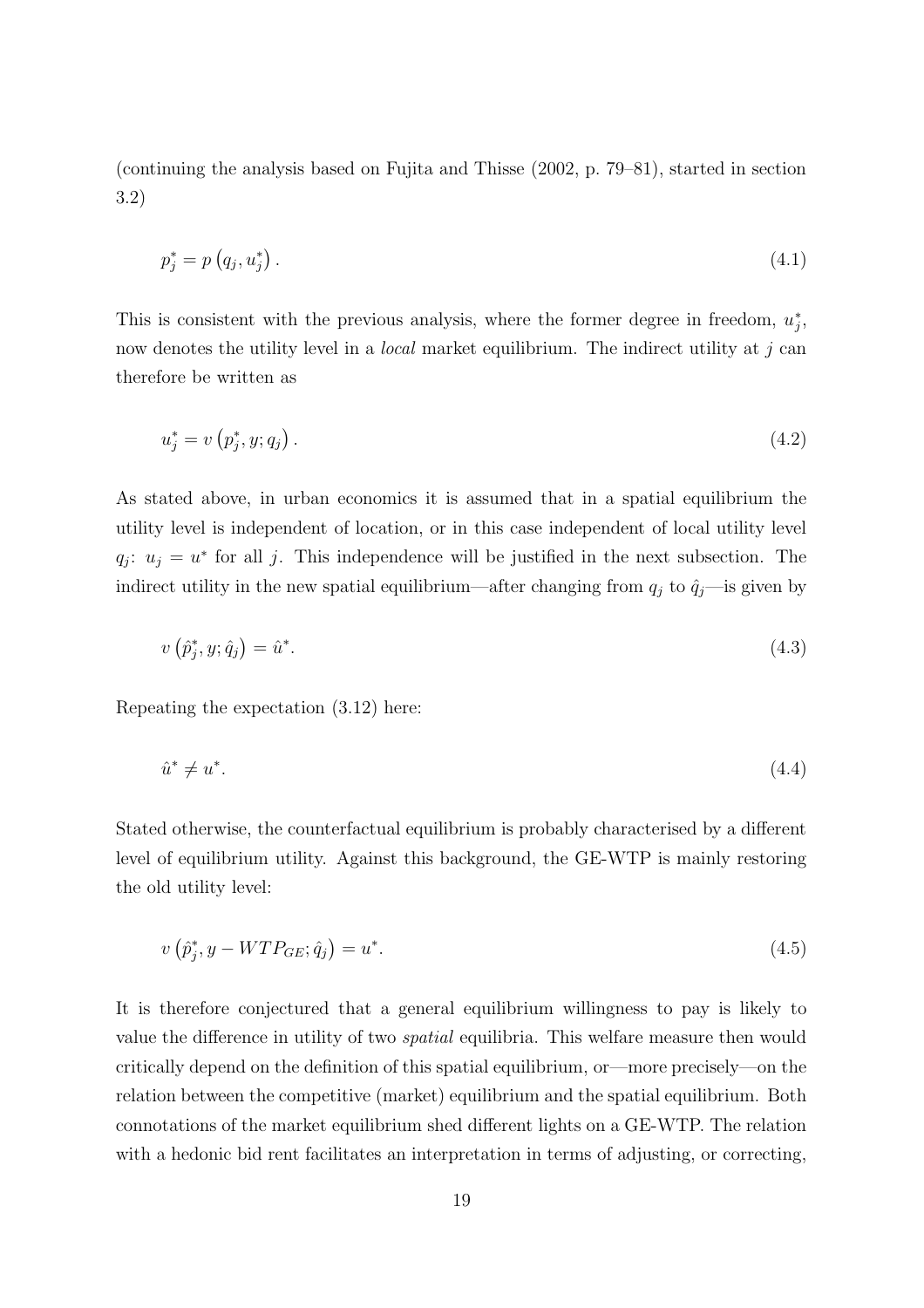(continuing the analysis based on Fujita and Thisse (2002, p. 79–81), started in section 3.2)

$$
p_j^* = p\left(q_j, u_j^*\right). \tag{4.1}
$$

This is consistent with the previous analysis, where the former degree in freedom,  $u_j^*$  $_j^*$ now denotes the utility level in a *local* market equilibrium. The indirect utility at  $j$  can therefore be written as

$$
u_j^* = v(p_j^*, y; q_j). \tag{4.2}
$$

As stated above, in urban economics it is assumed that in a spatial equilibrium the utility level is independent of location, or in this case independent of local utility level  $q_j: u_j = u^*$  for all j. This independence will be justified in the next subsection. The indirect utility in the new spatial equilibrium—after changing from  $q_j$  to  $\hat{q}_j$ —is given by

$$
v(\hat{p}_j^*, y; \hat{q}_j) = \hat{u}^*.
$$
\n(4.3)

Repeating the expectation (3.12) here:

$$
\hat{u}^* \neq u^*.\tag{4.4}
$$

Stated otherwise, the counterfactual equilibrium is probably characterised by a different level of equilibrium utility. Against this background, the GE-WTP is mainly restoring the old utility level:

$$
v\left(\hat{p}_j^*, y - WTP_{GE}; \hat{q}_j\right) = u^*.\tag{4.5}
$$

It is therefore conjectured that a general equilibrium willingness to pay is likely to value the difference in utility of two spatial equilibria. This welfare measure then would critically depend on the definition of this spatial equilibrium, or—more precisely—on the relation between the competitive (market) equilibrium and the spatial equilibrium. Both connotations of the market equilibrium shed different lights on a GE-WTP. The relation with a hedonic bid rent facilitates an interpretation in terms of adjusting, or correcting,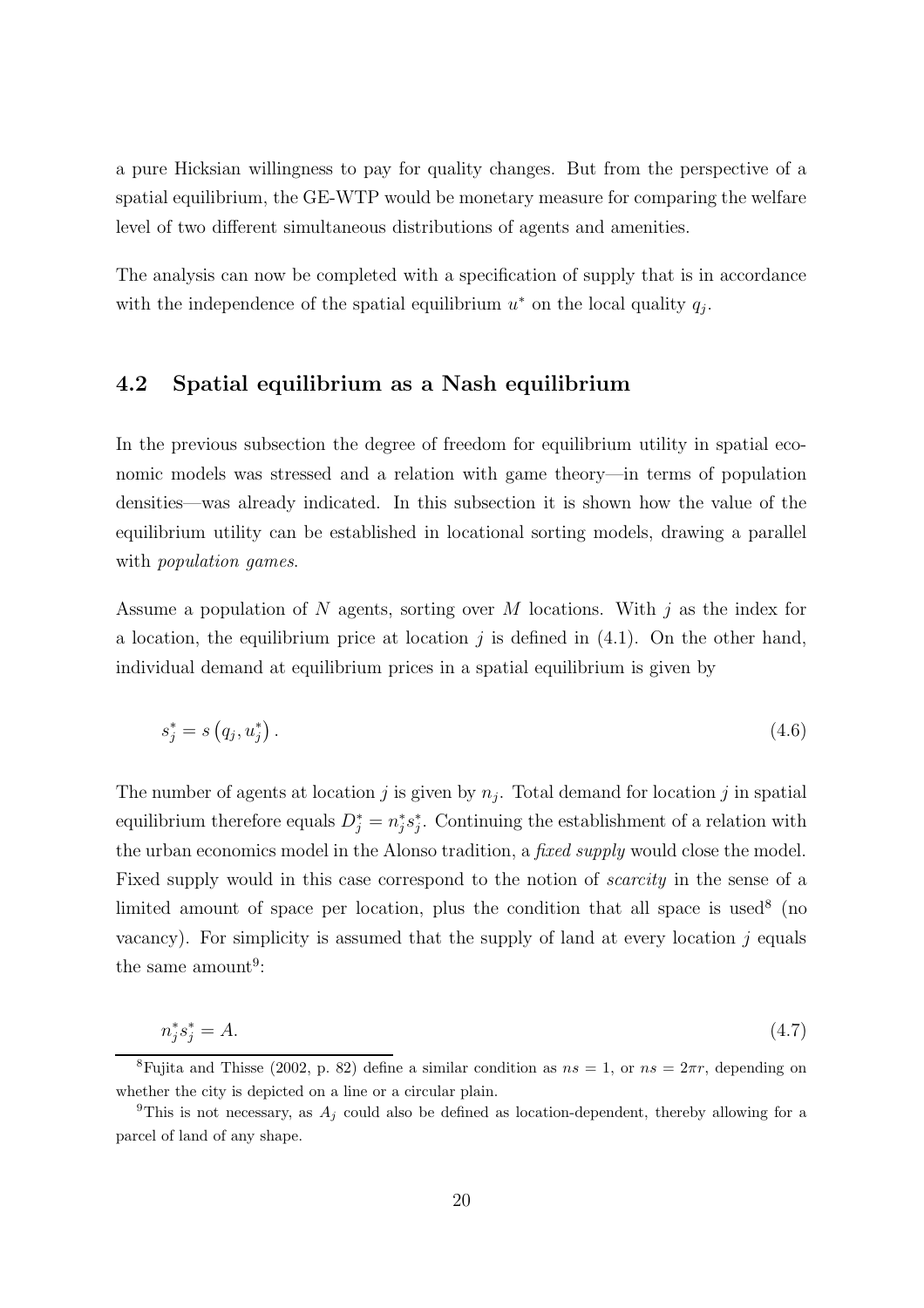a pure Hicksian willingness to pay for quality changes. But from the perspective of a spatial equilibrium, the GE-WTP would be monetary measure for comparing the welfare level of two different simultaneous distributions of agents and amenities.

The analysis can now be completed with a specification of supply that is in accordance with the independence of the spatial equilibrium  $u^*$  on the local quality  $q_j$ .

### 4.2 Spatial equilibrium as a Nash equilibrium

In the previous subsection the degree of freedom for equilibrium utility in spatial economic models was stressed and a relation with game theory—in terms of population densities—was already indicated. In this subsection it is shown how the value of the equilibrium utility can be established in locational sorting models, drawing a parallel with *population* games.

Assume a population of N agents, sorting over M locations. With  $j$  as the index for a location, the equilibrium price at location  $j$  is defined in (4.1). On the other hand, individual demand at equilibrium prices in a spatial equilibrium is given by

$$
s_j^* = s(q_j, u_j^*). \tag{4.6}
$$

The number of agents at location  $j$  is given by  $n_j$ . Total demand for location  $j$  in spatial equilibrium therefore equals  $D_j^* = n_j^*$  $j^*s_j^*$  $j<sub>i</sub>$ . Continuing the establishment of a relation with the urban economics model in the Alonso tradition, a *fixed supply* would close the model. Fixed supply would in this case correspond to the notion of scarcity in the sense of a limited amount of space per location, plus the condition that all space is used<sup>8</sup> (no vacancy). For simplicity is assumed that the supply of land at every location  $j$  equals the same amount<sup>9</sup>:

$$
n_j^* s_j^* = A. \tag{4.7}
$$

<sup>&</sup>lt;sup>8</sup>Fujita and Thisse (2002, p. 82) define a similar condition as  $ns = 1$ , or  $ns = 2\pi r$ , depending on whether the city is depicted on a line or a circular plain.

<sup>&</sup>lt;sup>9</sup>This is not necessary, as  $A_i$  could also be defined as location-dependent, thereby allowing for a parcel of land of any shape.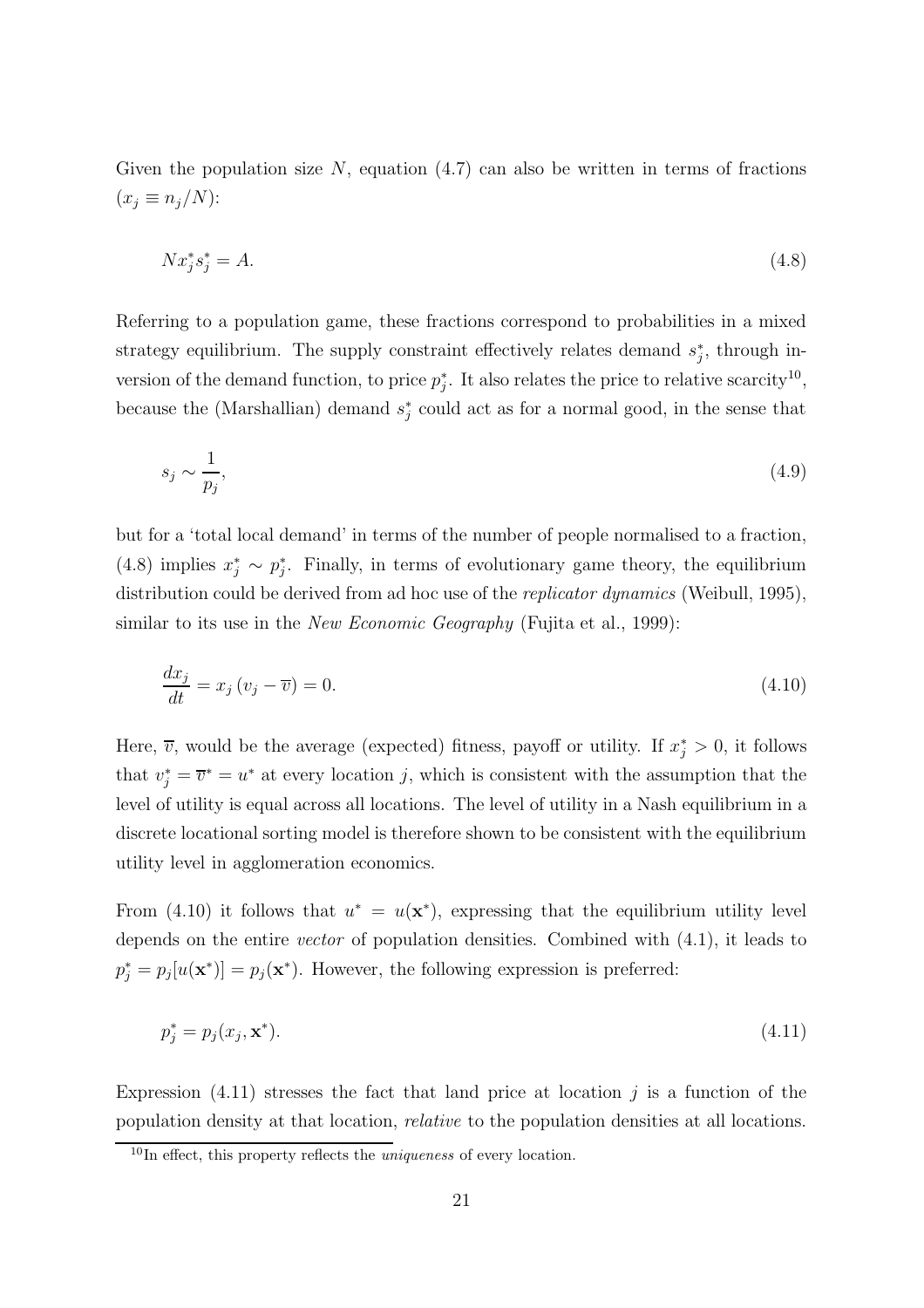Given the population size  $N$ , equation  $(4.7)$  can also be written in terms of fractions  $(x_j \equiv n_j/N)$ :

$$
Nx_j^*s_j^* = A.\tag{4.8}
$$

Referring to a population game, these fractions correspond to probabilities in a mixed strategy equilibrium. The supply constraint effectively relates demand  $s_i^*$  $_{j}^{*}$ , through inversion of the demand function, to price  $p_j^*$  $j<sup>*</sup>$ . It also relates the price to relative scarcity<sup>10</sup>, because the (Marshallian) demand  $s_i^*$  $j$ <sup>\*</sup> could act as for a normal good, in the sense that

$$
s_j \sim \frac{1}{p_j},\tag{4.9}
$$

but for a 'total local demand' in terms of the number of people normalised to a fraction, (4.8) implies  $x_j^* \sim p_j^*$ j . Finally, in terms of evolutionary game theory, the equilibrium distribution could be derived from ad hoc use of the *replicator dynamics* (Weibull, 1995), similar to its use in the *New Economic Geography* (Fujita et al., 1999):

$$
\frac{dx_j}{dt} = x_j \left( v_j - \overline{v} \right) = 0. \tag{4.10}
$$

Here,  $\overline{v}$ , would be the average (expected) fitness, payoff or utility. If  $x_j^* > 0$ , it follows that  $v_j^* = \overline{v}^* = u^*$  at every location j, which is consistent with the assumption that the level of utility is equal across all locations. The level of utility in a Nash equilibrium in a discrete locational sorting model is therefore shown to be consistent with the equilibrium utility level in agglomeration economics.

From (4.10) it follows that  $u^* = u(\mathbf{x}^*)$ , expressing that the equilibrium utility level depends on the entire vector of population densities. Combined with (4.1), it leads to  $p_j^* = p_j[u(\mathbf{x}^*)] = p_j(\mathbf{x}^*)$ . However, the following expression is preferred:

$$
p_j^* = p_j(x_j, \mathbf{x}^*). \tag{4.11}
$$

Expression  $(4.11)$  stresses the fact that land price at location j is a function of the population density at that location, relative to the population densities at all locations.

 $10$ In effect, this property reflects the *uniqueness* of every location.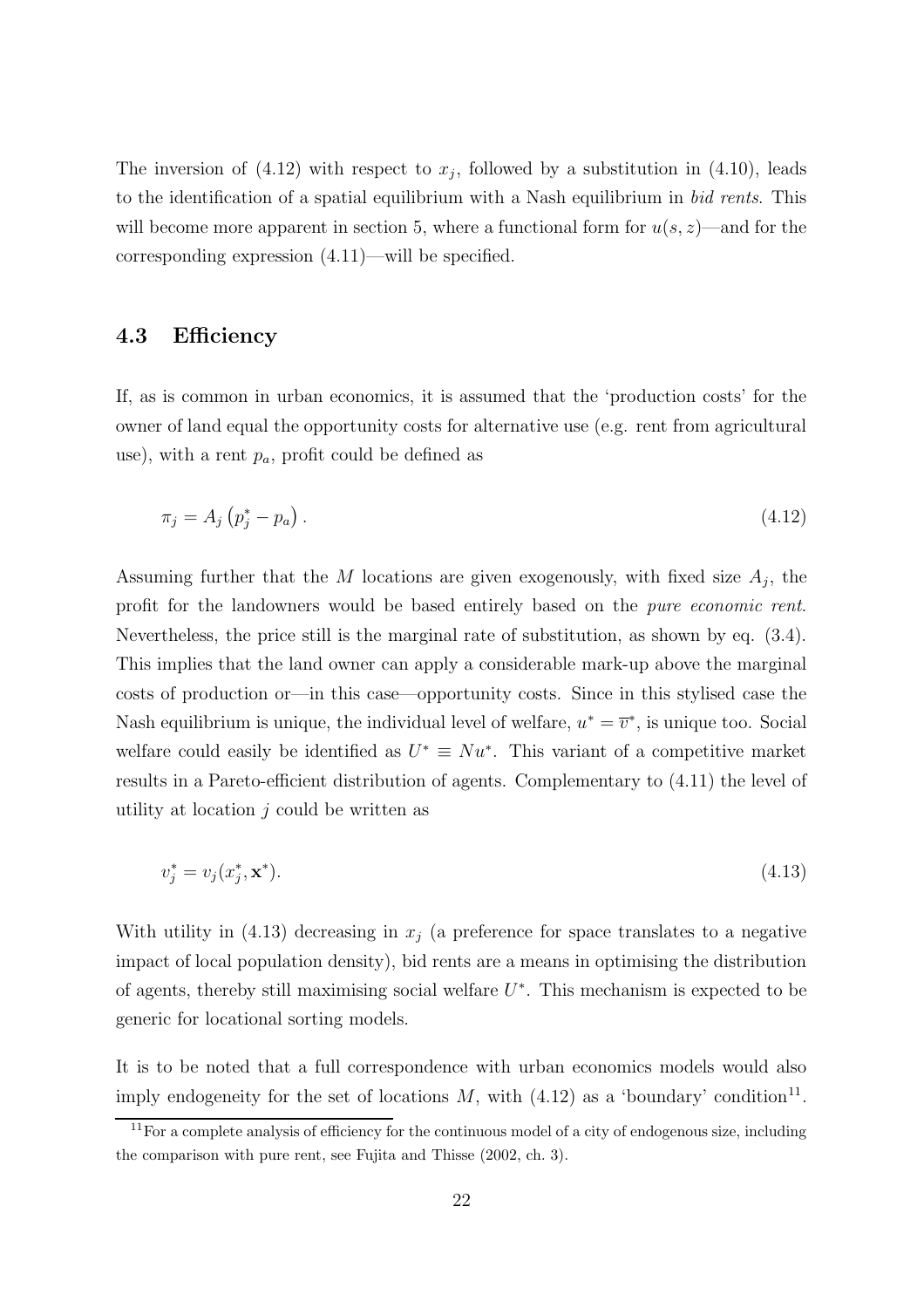The inversion of  $(4.12)$  with respect to  $x_j$ , followed by a substitution in  $(4.10)$ , leads to the identification of a spatial equilibrium with a Nash equilibrium in bid rents. This will become more apparent in section 5, where a functional form for  $u(s, z)$ —and for the corresponding expression (4.11)—will be specified.

#### 4.3 Efficiency

If, as is common in urban economics, it is assumed that the 'production costs' for the owner of land equal the opportunity costs for alternative use (e.g. rent from agricultural use), with a rent  $p_a$ , profit could be defined as

$$
\pi_j = A_j \left( p_j^* - p_a \right). \tag{4.12}
$$

Assuming further that the  $M$  locations are given exogenously, with fixed size  $A_j$ , the profit for the landowners would be based entirely based on the pure economic rent. Nevertheless, the price still is the marginal rate of substitution, as shown by eq. (3.4). This implies that the land owner can apply a considerable mark-up above the marginal costs of production or—in this case—opportunity costs. Since in this stylised case the Nash equilibrium is unique, the individual level of welfare,  $u^* = \overline{v}^*$ , is unique too. Social welfare could easily be identified as  $U^* \equiv Nu^*$ . This variant of a competitive market results in a Pareto-efficient distribution of agents. Complementary to (4.11) the level of utility at location  $j$  could be written as

$$
v_j^* = v_j(x_j^*, \mathbf{x}^*). \tag{4.13}
$$

With utility in (4.13) decreasing in  $x_j$  (a preference for space translates to a negative impact of local population density), bid rents are a means in optimising the distribution of agents, thereby still maximising social welfare  $U^*$ . This mechanism is expected to be generic for locational sorting models.

It is to be noted that a full correspondence with urban economics models would also imply endogeneity for the set of locations M, with  $(4.12)$  as a 'boundary' condition<sup>11</sup>.

 $11$  For a complete analysis of efficiency for the continuous model of a city of endogenous size, including the comparison with pure rent, see Fujita and Thisse (2002, ch. 3).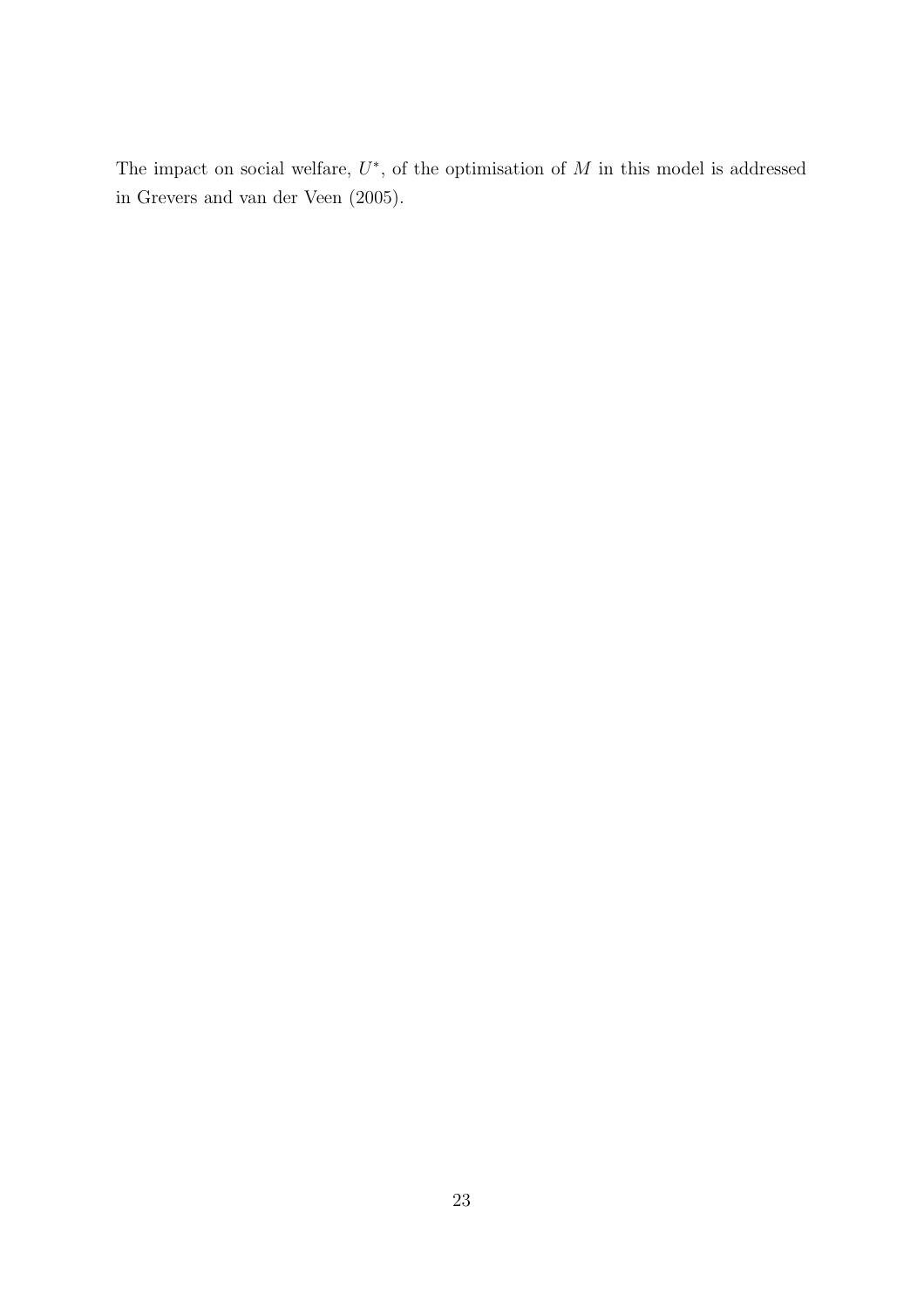The impact on social welfare,  $U^*$ , of the optimisation of  $M$  in this model is addressed in Grevers and van der Veen (2005).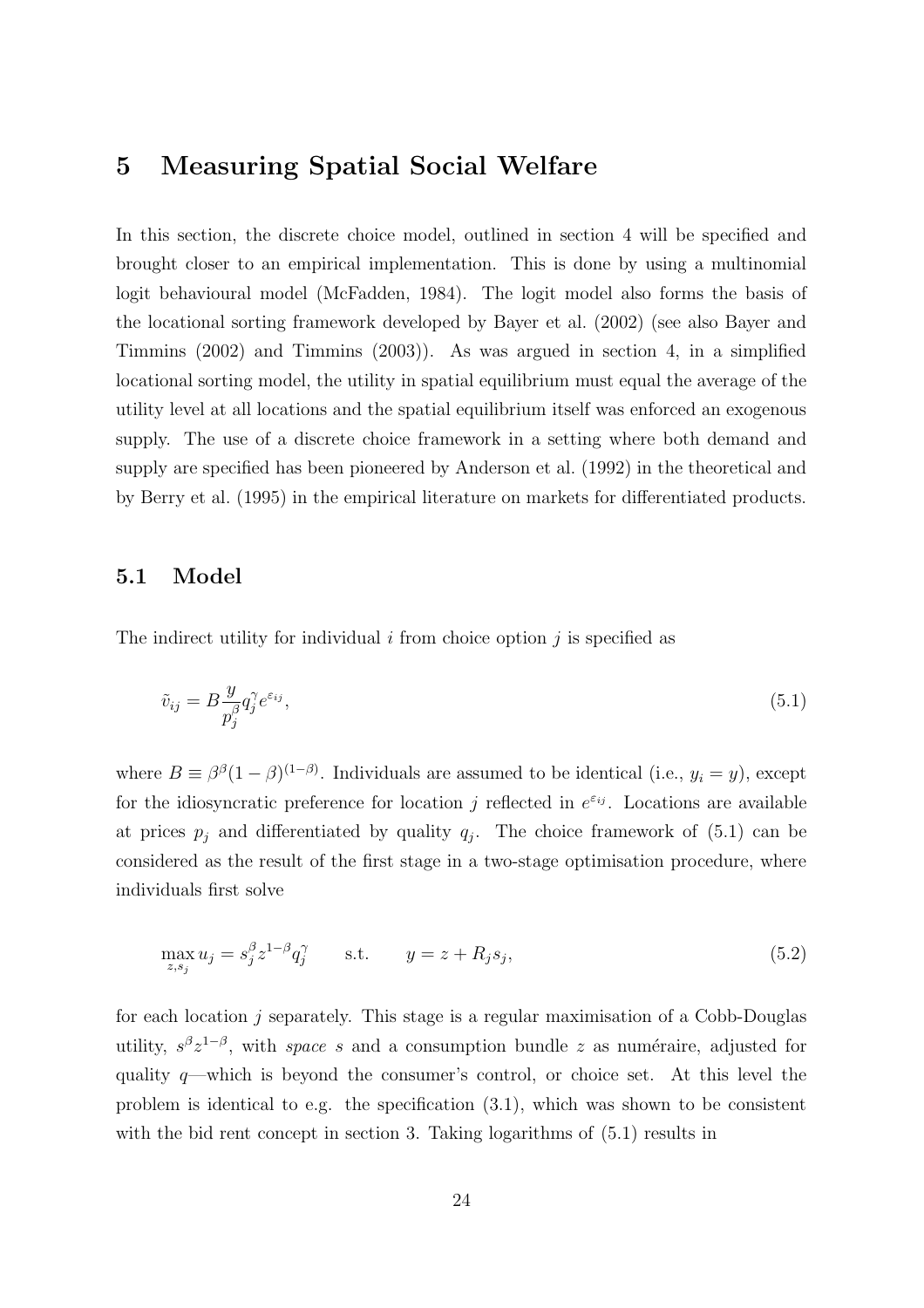### 5 Measuring Spatial Social Welfare

In this section, the discrete choice model, outlined in section 4 will be specified and brought closer to an empirical implementation. This is done by using a multinomial logit behavioural model (McFadden, 1984). The logit model also forms the basis of the locational sorting framework developed by Bayer et al. (2002) (see also Bayer and Timmins (2002) and Timmins (2003)). As was argued in section 4, in a simplified locational sorting model, the utility in spatial equilibrium must equal the average of the utility level at all locations and the spatial equilibrium itself was enforced an exogenous supply. The use of a discrete choice framework in a setting where both demand and supply are specified has been pioneered by Anderson et al. (1992) in the theoretical and by Berry et al. (1995) in the empirical literature on markets for differentiated products.

#### 5.1 Model

The indirect utility for individual  $i$  from choice option  $j$  is specified as

$$
\tilde{v}_{ij} = B \frac{y}{p_j^{\beta}} q_j^{\gamma} e^{\varepsilon_{ij}},\tag{5.1}
$$

where  $B \equiv \beta^{\beta}(1-\beta)^{(1-\beta)}$ . Individuals are assumed to be identical (i.e.,  $y_i = y$ ), except for the idiosyncratic preference for location j reflected in  $e^{\varepsilon_{ij}}$ . Locations are available at prices  $p_j$  and differentiated by quality  $q_j$ . The choice framework of  $(5.1)$  can be considered as the result of the first stage in a two-stage optimisation procedure, where individuals first solve

$$
\max_{z,s_j} u_j = s_j^{\beta} z^{1-\beta} q_j^{\gamma} \qquad \text{s.t.} \qquad y = z + R_j s_j,
$$
\n
$$
(5.2)
$$

for each location  $j$  separately. This stage is a regular maximisation of a Cobb-Douglas utility,  $s^{\beta}z^{1-\beta}$ , with *space s* and a consumption bundle *z* as numéraire, adjusted for quality  $q$ —which is beyond the consumer's control, or choice set. At this level the problem is identical to e.g. the specification (3.1), which was shown to be consistent with the bid rent concept in section 3. Taking logarithms of  $(5.1)$  results in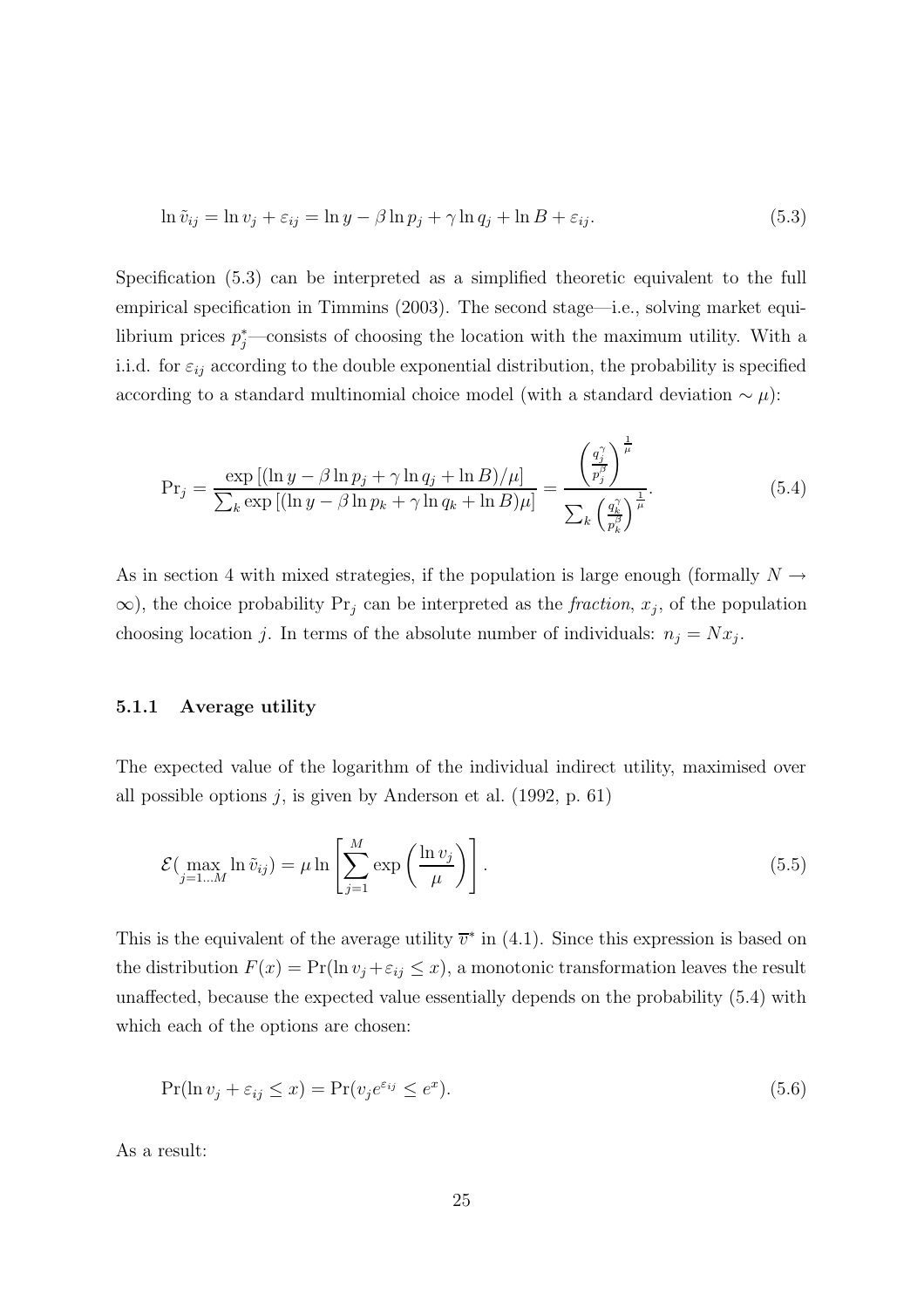$$
\ln \tilde{v}_{ij} = \ln v_j + \varepsilon_{ij} = \ln y - \beta \ln p_j + \gamma \ln q_j + \ln B + \varepsilon_{ij}.
$$
\n(5.3)

Specification (5.3) can be interpreted as a simplified theoretic equivalent to the full empirical specification in Timmins (2003). The second stage—i.e., solving market equilibrium prices  $p_j^*$ —consists of choosing the location with the maximum utility. With a i.i.d. for  $\varepsilon_{ij}$  according to the double exponential distribution, the probability is specified according to a standard multinomial choice model (with a standard deviation  $\sim \mu$ ):

$$
\Pr_j = \frac{\exp\left[ (\ln y - \beta \ln p_j + \gamma \ln q_j + \ln B) / \mu \right]}{\sum_k \exp\left[ (\ln y - \beta \ln p_k + \gamma \ln q_k + \ln B) \mu \right]} = \frac{\left(\frac{q_j^{\gamma}}{p_j^{\beta}}\right)^{\frac{1}{\mu}}}{\sum_k \left(\frac{q_k^{\gamma}}{p_k^{\beta}}\right)^{\frac{1}{\mu}}}.
$$
\n(5.4)

As in section 4 with mixed strategies, if the population is large enough (formally  $N \rightarrow$  $\infty$ ), the choice probability Pr<sub>j</sub> can be interpreted as the *fraction*,  $x_j$ , of the population choosing location j. In terms of the absolute number of individuals:  $n_j = Nx_j$ .

#### 5.1.1 Average utility

The expected value of the logarithm of the individual indirect utility, maximised over all possible options  $j$ , is given by Anderson et al. (1992, p. 61)

$$
\mathcal{E}\left(\max_{j=1...M} \ln \tilde{v}_{ij}\right) = \mu \ln \left[\sum_{j=1}^{M} \exp\left(\frac{\ln v_j}{\mu}\right)\right].
$$
\n(5.5)

This is the equivalent of the average utility  $\bar{v}^*$  in (4.1). Since this expression is based on the distribution  $F(x) = Pr(\ln v_j + \varepsilon_{ij} \leq x)$ , a monotonic transformation leaves the result unaffected, because the expected value essentially depends on the probability (5.4) with which each of the options are chosen:

$$
\Pr(\ln v_j + \varepsilon_{ij} \le x) = \Pr(v_j e^{\varepsilon_{ij}} \le e^x). \tag{5.6}
$$

As a result: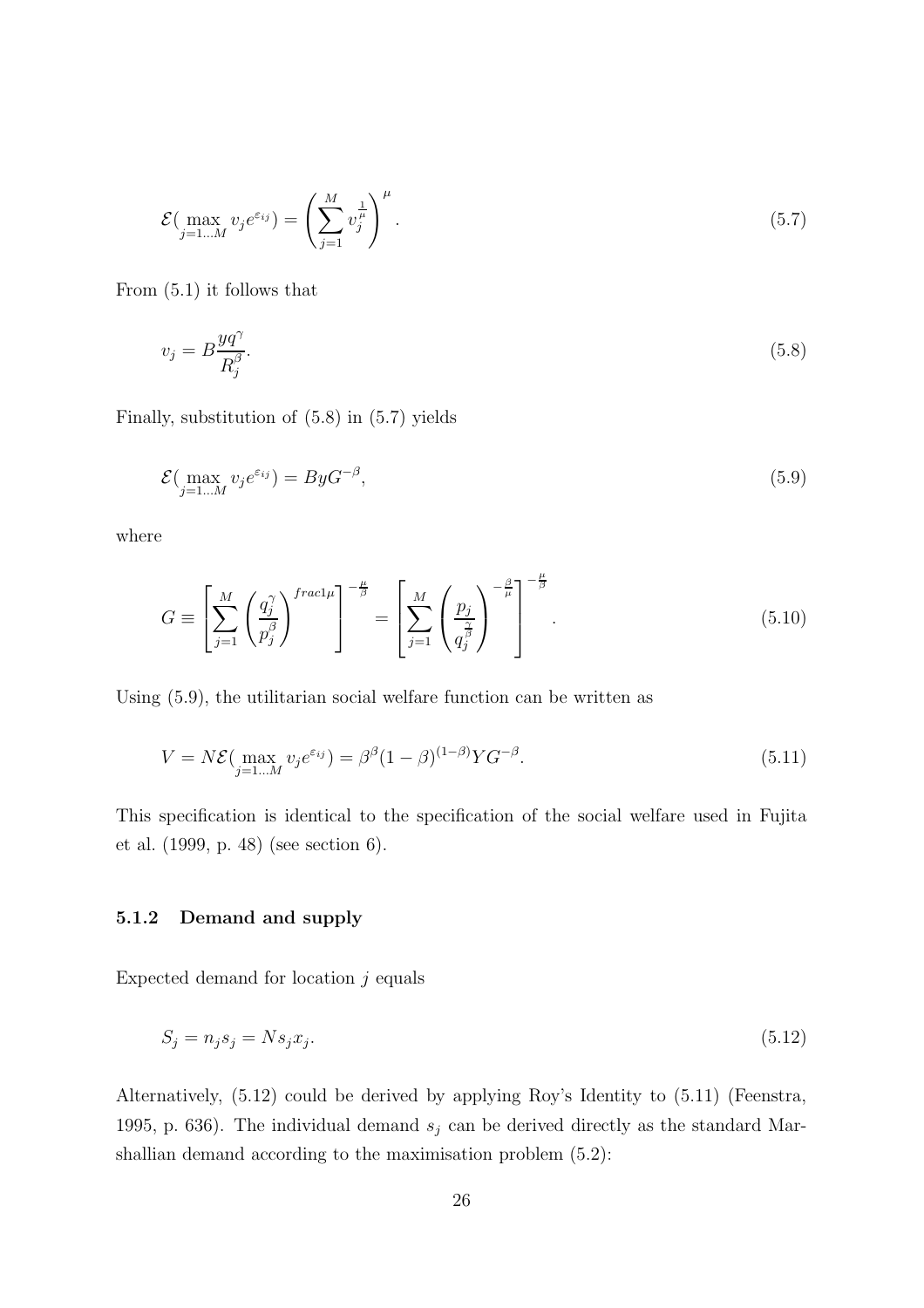$$
\mathcal{E}\left(\max_{j=1\ldots M} v_j e^{\varepsilon_{ij}}\right) = \left(\sum_{j=1}^M v_j^{\frac{1}{\mu}}\right)^{\mu}.\tag{5.7}
$$

From (5.1) it follows that

$$
v_j = B \frac{yq^{\gamma}}{R_j^{\beta}}.\tag{5.8}
$$

Finally, substitution of (5.8) in (5.7) yields

$$
\mathcal{E}(\max_{j=1...M} v_j e^{\varepsilon_{ij}}) = ByG^{-\beta},\tag{5.9}
$$

where

$$
G \equiv \left[ \sum_{j=1}^{M} \left( \frac{q_j^{\gamma}}{p_j^{\beta}} \right)^{frac} \right]^{-\frac{\mu}{\beta}} = \left[ \sum_{j=1}^{M} \left( \frac{p_j}{q_j^{\frac{\gamma}{\beta}}} \right)^{-\frac{\beta}{\mu}} \right]^{-\frac{\mu}{\beta}}.
$$
\n(5.10)

Using (5.9), the utilitarian social welfare function can be written as

$$
V = N\mathcal{E}(\max_{j=1...M} v_j e^{\varepsilon_{ij}}) = \beta^{\beta} (1-\beta)^{(1-\beta)} Y G^{-\beta}.
$$
\n(5.11)

This specification is identical to the specification of the social welfare used in Fujita et al. (1999, p. 48) (see section 6).

#### 5.1.2 Demand and supply

Expected demand for location  $j$  equals

$$
S_j = n_j s_j = N s_j x_j. \tag{5.12}
$$

Alternatively, (5.12) could be derived by applying Roy's Identity to (5.11) (Feenstra, 1995, p. 636). The individual demand  $s_j$  can be derived directly as the standard Marshallian demand according to the maximisation problem (5.2):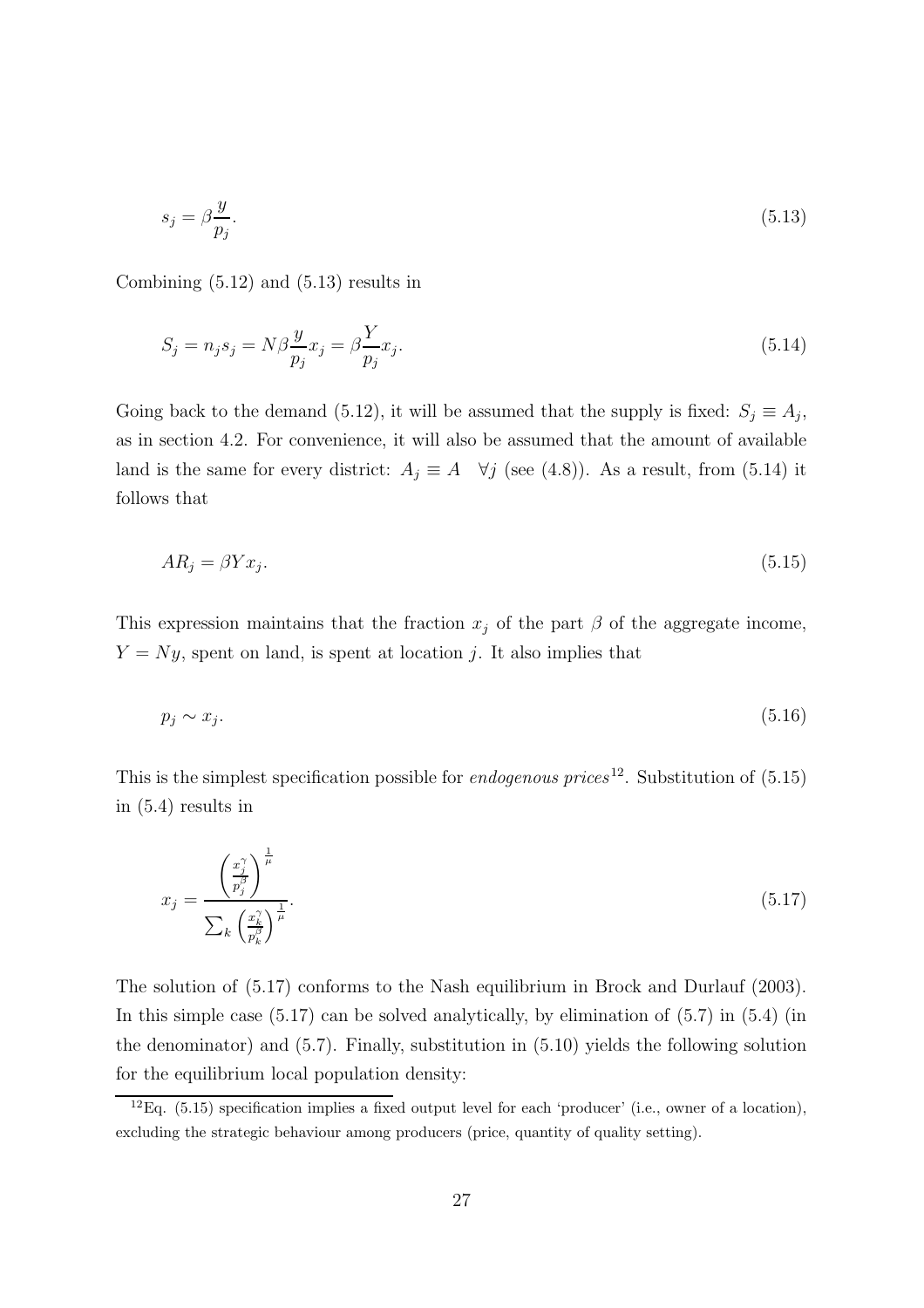$$
s_j = \beta \frac{y}{p_j}.\tag{5.13}
$$

Combining (5.12) and (5.13) results in

$$
S_j = n_j s_j = N\beta \frac{y}{p_j} x_j = \beta \frac{Y}{p_j} x_j. \tag{5.14}
$$

Going back to the demand (5.12), it will be assumed that the supply is fixed:  $S_j \equiv A_j$ , as in section 4.2. For convenience, it will also be assumed that the amount of available land is the same for every district:  $A_j \equiv A \quad \forall j$  (see (4.8)). As a result, from (5.14) it follows that

$$
AR_j = \beta Y x_j. \tag{5.15}
$$

This expression maintains that the fraction  $x_j$  of the part  $\beta$  of the aggregate income,  $Y = Ny$ , spent on land, is spent at location j. It also implies that

$$
p_j \sim x_j. \tag{5.16}
$$

This is the simplest specification possible for *endogenous prices*<sup>12</sup>. Substitution of  $(5.15)$ in (5.4) results in

$$
x_j = \frac{\left(\frac{x_j^{\gamma}}{p_j^{\beta}}\right)^{\frac{1}{\mu}}}{\sum_k \left(\frac{x_k^{\gamma}}{p_k^{\beta}}\right)^{\frac{1}{\mu}}}.
$$
\n(5.17)

The solution of (5.17) conforms to the Nash equilibrium in Brock and Durlauf (2003). In this simple case  $(5.17)$  can be solved analytically, by elimination of  $(5.7)$  in  $(5.4)$  (in the denominator) and (5.7). Finally, substitution in (5.10) yields the following solution for the equilibrium local population density:

 ${}^{12}Eq.$  (5.15) specification implies a fixed output level for each 'producer' (i.e., owner of a location), excluding the strategic behaviour among producers (price, quantity of quality setting).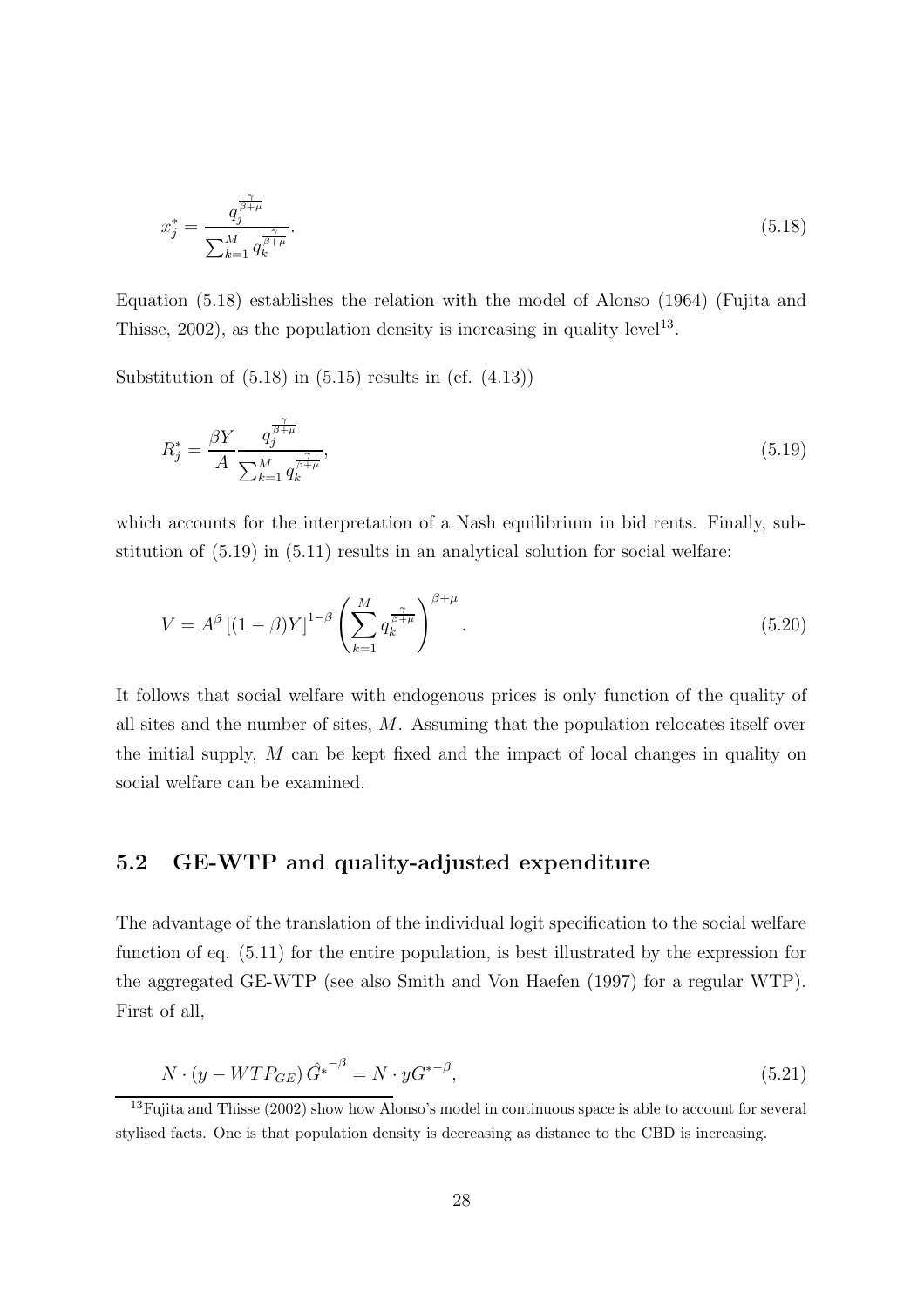$$
x_j^* = \frac{q_j^{\frac{\gamma}{\beta+\mu}}}{\sum_{k=1}^M q_k^{\frac{\gamma}{\beta+\mu}}}.\tag{5.18}
$$

Equation (5.18) establishes the relation with the model of Alonso (1964) (Fujita and Thisse,  $2002$ ), as the population density is increasing in quality level<sup>13</sup>.

Substitution of  $(5.18)$  in  $(5.15)$  results in  $(cf. (4.13))$ 

$$
R_j^* = \frac{\beta Y}{A} \frac{q_j^{\frac{\gamma}{\beta+\mu}}}{\sum_{k=1}^M q_k^{\frac{\gamma}{\beta+\mu}}},\tag{5.19}
$$

which accounts for the interpretation of a Nash equilibrium in bid rents. Finally, substitution of  $(5.19)$  in  $(5.11)$  results in an analytical solution for social welfare:

$$
V = A^{\beta} \left[ (1 - \beta) Y \right]^{1 - \beta} \left( \sum_{k=1}^{M} q_k^{\frac{\gamma}{\beta + \mu}} \right)^{\beta + \mu} . \tag{5.20}
$$

It follows that social welfare with endogenous prices is only function of the quality of all sites and the number of sites, M. Assuming that the population relocates itself over the initial supply, M can be kept fixed and the impact of local changes in quality on social welfare can be examined.

### 5.2 GE-WTP and quality-adjusted expenditure

The advantage of the translation of the individual logit specification to the social welfare function of eq. (5.11) for the entire population, is best illustrated by the expression for the aggregated GE-WTP (see also Smith and Von Haefen (1997) for a regular WTP). First of all,

$$
N \cdot (y - WTP_{GE})\hat{G}^{*^{-\beta}} = N \cdot yG^{*^{-\beta}},\tag{5.21}
$$

<sup>&</sup>lt;sup>13</sup>Fujita and Thisse (2002) show how Alonso's model in continuous space is able to account for several stylised facts. One is that population density is decreasing as distance to the CBD is increasing.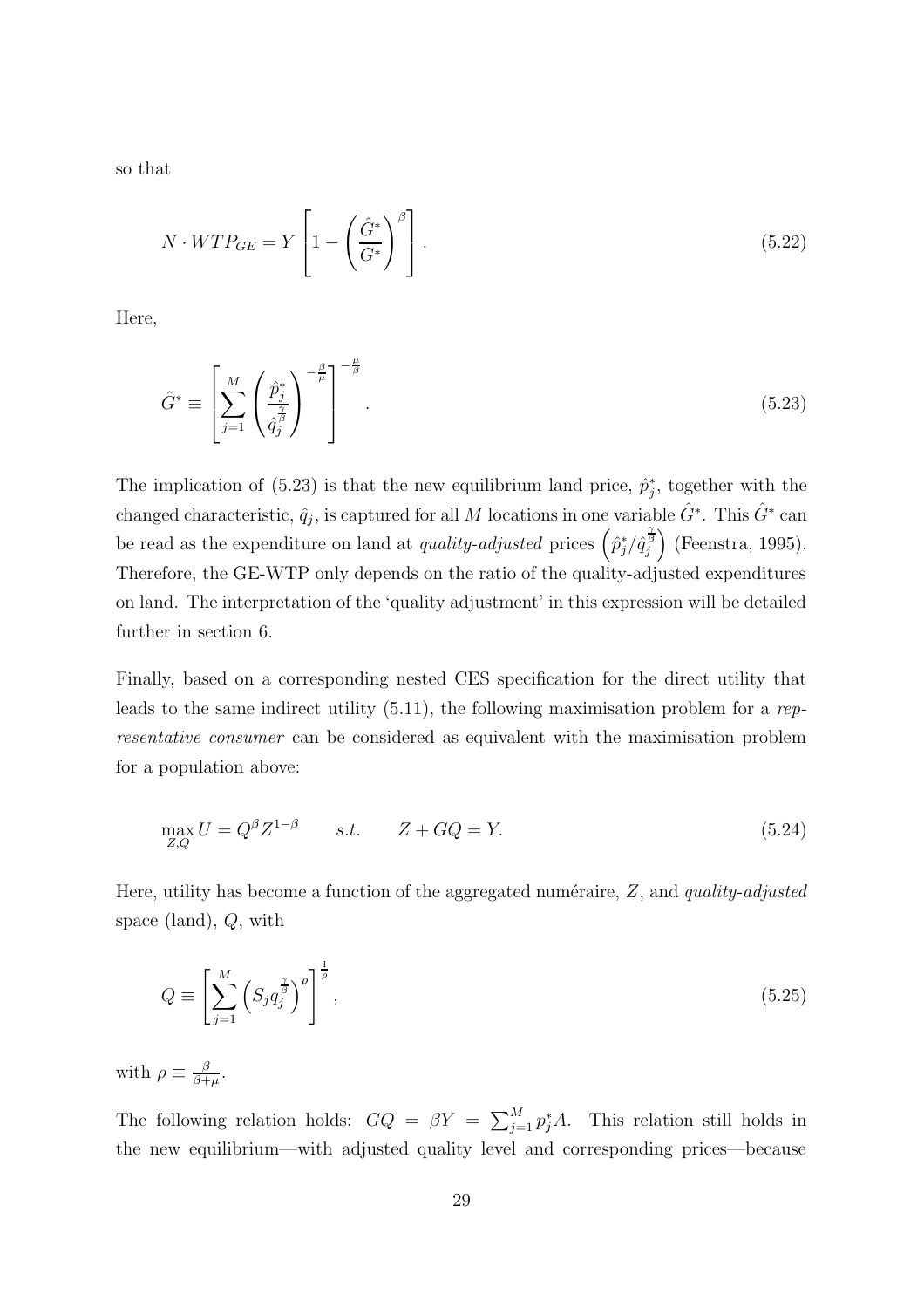so that

$$
N \cdot WTP_{GE} = Y \left[ 1 - \left( \frac{\hat{G}^*}{G^*} \right)^{\beta} \right]. \tag{5.22}
$$

Here,

$$
\hat{G}^* \equiv \left[ \sum_{j=1}^M \left( \frac{\hat{p}_j^*}{\hat{q}_j^{\frac{\gamma}{\beta}}} \right)^{-\frac{\beta}{\mu}} \right]^{-\frac{\mu}{\beta}}.
$$
\n(5.23)

The implication of (5.23) is that the new equilibrium land price,  $\hat{p}_i^*$  $_{j}^{*}$ , together with the changed characteristic,  $\hat{q}_j$ , is captured for all M locations in one variable  $\hat{G}^*$ . This  $\hat{G}^*$  can be read as the expenditure on land at *quality-adjusted* prices  $(\hat{p}_i^*$  $j/\hat{q}^{\frac{\gamma}{\beta}}_j$  (Feenstra, 1995). Therefore, the GE-WTP only depends on the ratio of the quality-adjusted expenditures on land. The interpretation of the 'quality adjustment' in this expression will be detailed further in section 6.

Finally, based on a corresponding nested CES specification for the direct utility that leads to the same indirect utility  $(5.11)$ , the following maximisation problem for a representative consumer can be considered as equivalent with the maximisation problem for a population above:

$$
\max_{Z,Q} U = Q^{\beta} Z^{1-\beta} \qquad s.t. \qquad Z + GQ = Y. \tag{5.24}
$$

Here, utility has become a function of the aggregated numéraire,  $Z$ , and quality-adjusted space (land), Q, with

$$
Q \equiv \left[ \sum_{j=1}^{M} \left( S_j q_j^{\frac{\gamma}{\beta}} \right)^{\rho} \right]^{\frac{1}{\rho}},\tag{5.25}
$$

with  $\rho \equiv \frac{\beta}{\beta + \beta}$  $\frac{\beta}{\beta+\mu}$ .

The following relation holds:  $GQ = \beta Y = \sum_{j=1}^{M} p_j^* A$ . This relation still holds in the new equilibrium—with adjusted quality level and corresponding prices—because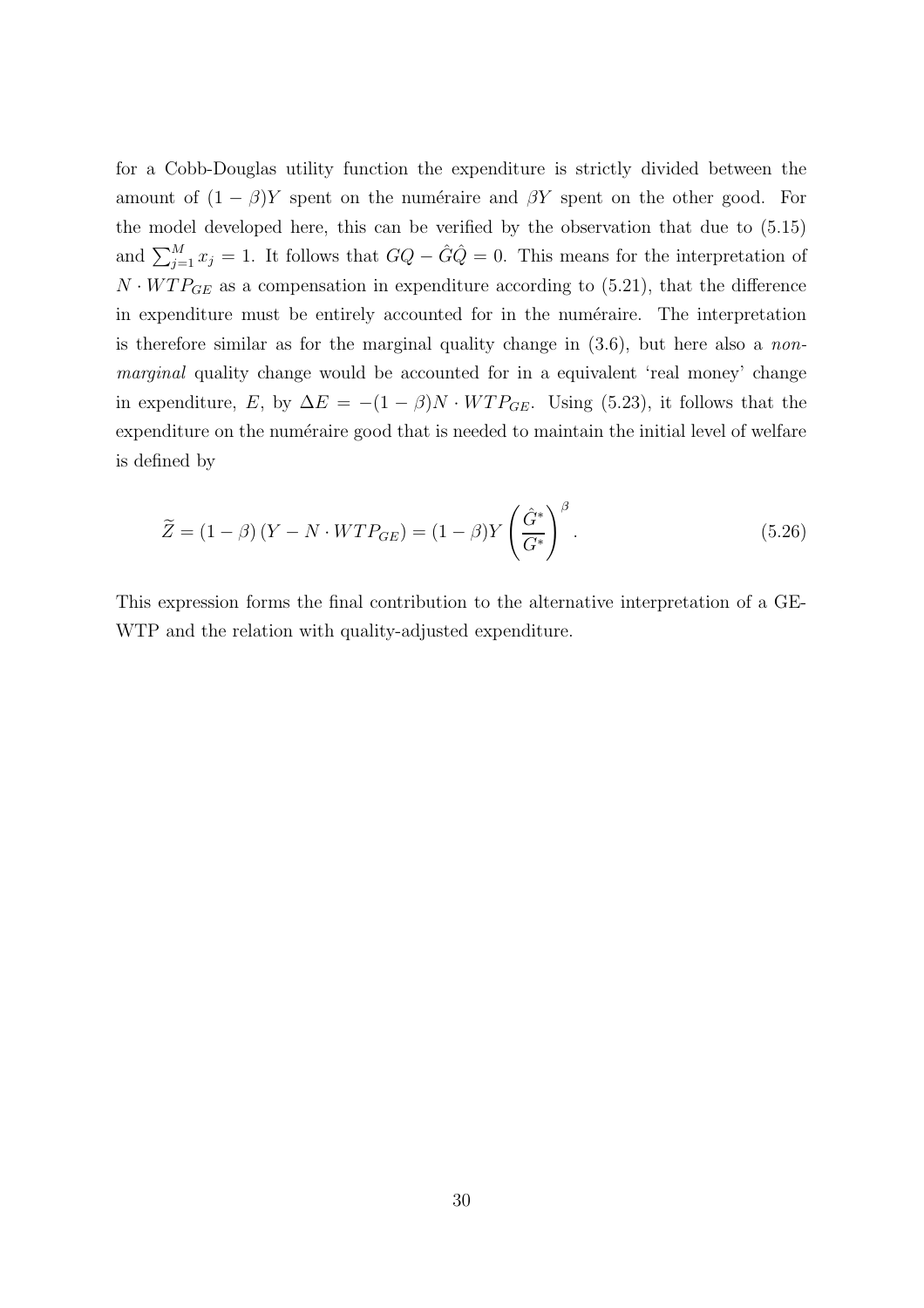for a Cobb-Douglas utility function the expenditure is strictly divided between the amount of  $(1 - \beta)Y$  spent on the numéraire and  $\beta Y$  spent on the other good. For the model developed here, this can be verified by the observation that due to (5.15) and  $\sum_{j=1}^{M} x_j = 1$ . It follows that  $GQ - \hat{G}\hat{Q} = 0$ . This means for the interpretation of  $N \cdot WTP_{GE}$  as a compensation in expenditure according to (5.21), that the difference in expenditure must be entirely accounted for in the numéraire. The interpretation is therefore similar as for the marginal quality change in  $(3.6)$ , but here also a *non*marginal quality change would be accounted for in a equivalent 'real money' change in expenditure, E, by  $\Delta E = -(1 - \beta)N \cdot WTP_{GE}$ . Using (5.23), it follows that the expenditure on the numéraire good that is needed to maintain the initial level of welfare is defined by

$$
\widetilde{Z} = (1 - \beta) (Y - N \cdot WTP_{GE}) = (1 - \beta)Y \left(\frac{\hat{G}^*}{G^*}\right)^{\beta}.
$$
\n(5.26)

This expression forms the final contribution to the alternative interpretation of a GE-WTP and the relation with quality-adjusted expenditure.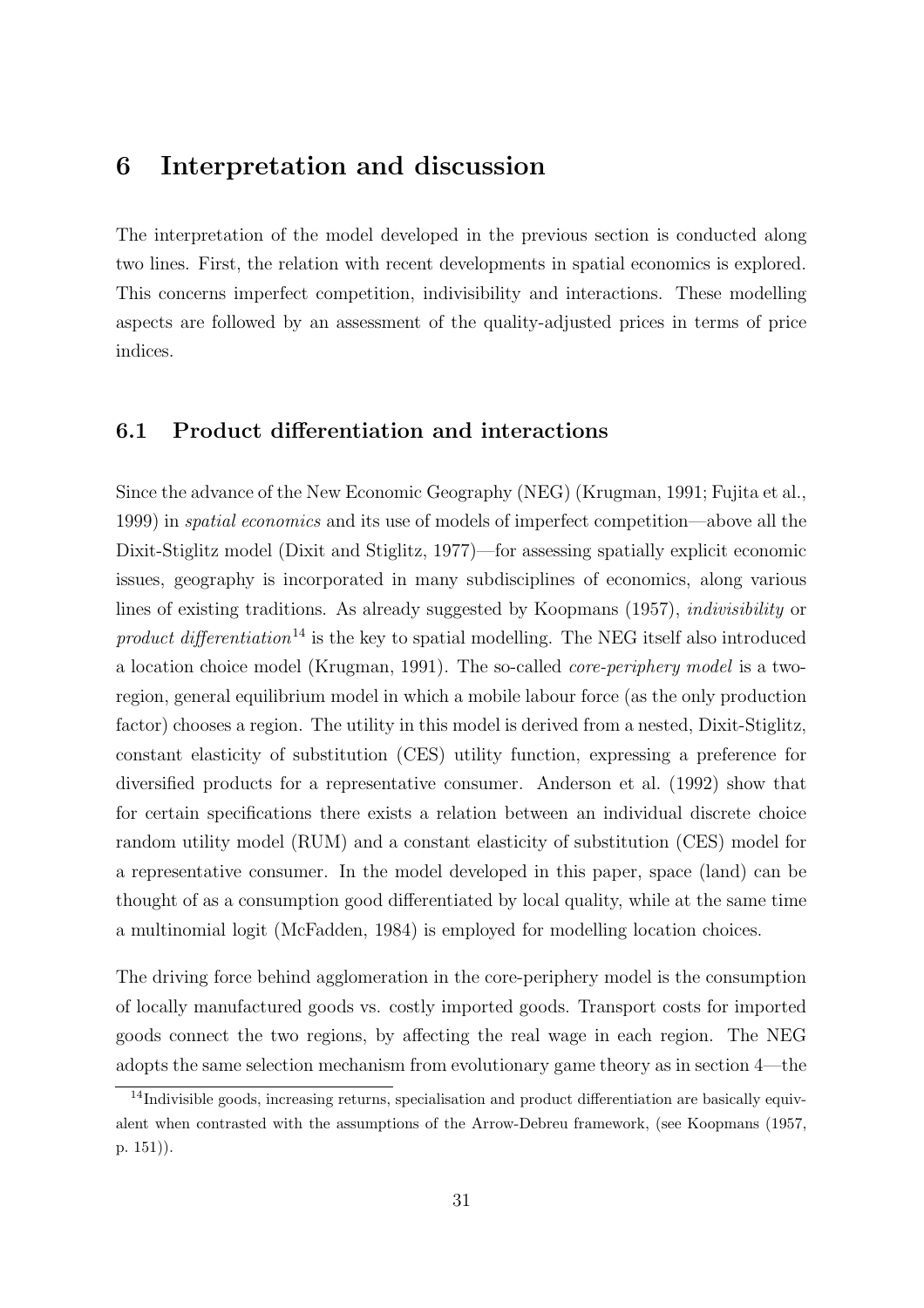### 6 Interpretation and discussion

The interpretation of the model developed in the previous section is conducted along two lines. First, the relation with recent developments in spatial economics is explored. This concerns imperfect competition, indivisibility and interactions. These modelling aspects are followed by an assessment of the quality-adjusted prices in terms of price indices.

#### 6.1 Product differentiation and interactions

Since the advance of the New Economic Geography (NEG) (Krugman, 1991; Fujita et al., 1999) in spatial economics and its use of models of imperfect competition—above all the Dixit-Stiglitz model (Dixit and Stiglitz, 1977)—for assessing spatially explicit economic issues, geography is incorporated in many subdisciplines of economics, along various lines of existing traditions. As already suggested by Koopmans (1957), indivisibility or product differentiation<sup>14</sup> is the key to spatial modelling. The NEG itself also introduced a location choice model (Krugman, 1991). The so-called core-periphery model is a tworegion, general equilibrium model in which a mobile labour force (as the only production factor) chooses a region. The utility in this model is derived from a nested, Dixit-Stiglitz, constant elasticity of substitution (CES) utility function, expressing a preference for diversified products for a representative consumer. Anderson et al. (1992) show that for certain specifications there exists a relation between an individual discrete choice random utility model (RUM) and a constant elasticity of substitution (CES) model for a representative consumer. In the model developed in this paper, space (land) can be thought of as a consumption good differentiated by local quality, while at the same time a multinomial logit (McFadden, 1984) is employed for modelling location choices.

The driving force behind agglomeration in the core-periphery model is the consumption of locally manufactured goods vs. costly imported goods. Transport costs for imported goods connect the two regions, by affecting the real wage in each region. The NEG adopts the same selection mechanism from evolutionary game theory as in section 4—the

<sup>&</sup>lt;sup>14</sup>Indivisible goods, increasing returns, specialisation and product differentiation are basically equivalent when contrasted with the assumptions of the Arrow-Debreu framework, (see Koopmans (1957, p. 151)).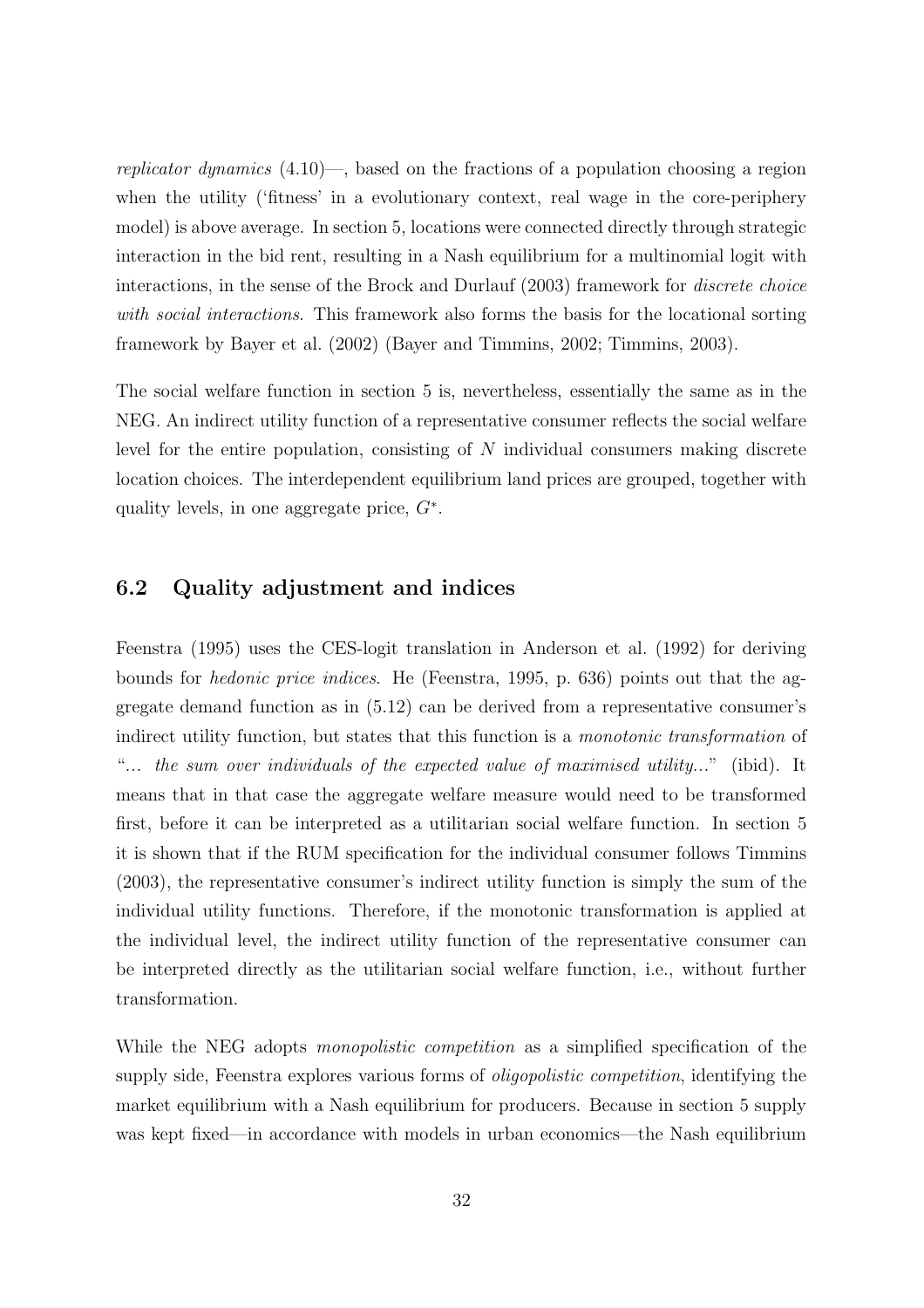replicator dynamics  $(4.10)$ —, based on the fractions of a population choosing a region when the utility ('fitness' in a evolutionary context, real wage in the core-periphery model) is above average. In section 5, locations were connected directly through strategic interaction in the bid rent, resulting in a Nash equilibrium for a multinomial logit with interactions, in the sense of the Brock and Durlauf (2003) framework for discrete choice with social interactions. This framework also forms the basis for the locational sorting framework by Bayer et al. (2002) (Bayer and Timmins, 2002; Timmins, 2003).

The social welfare function in section 5 is, nevertheless, essentially the same as in the NEG. An indirect utility function of a representative consumer reflects the social welfare level for the entire population, consisting of  $N$  individual consumers making discrete location choices. The interdependent equilibrium land prices are grouped, together with quality levels, in one aggregate price,  $G^*$ .

#### 6.2 Quality adjustment and indices

Feenstra (1995) uses the CES-logit translation in Anderson et al. (1992) for deriving bounds for hedonic price indices. He (Feenstra, 1995, p. 636) points out that the aggregate demand function as in (5.12) can be derived from a representative consumer's indirect utility function, but states that this function is a monotonic transformation of "... the sum over individuals of the expected value of maximised utility..." (ibid). It means that in that case the aggregate welfare measure would need to be transformed first, before it can be interpreted as a utilitarian social welfare function. In section 5 it is shown that if the RUM specification for the individual consumer follows Timmins (2003), the representative consumer's indirect utility function is simply the sum of the individual utility functions. Therefore, if the monotonic transformation is applied at the individual level, the indirect utility function of the representative consumer can be interpreted directly as the utilitarian social welfare function, i.e., without further transformation.

While the NEG adopts *monopolistic competition* as a simplified specification of the supply side, Feenstra explores various forms of oligopolistic competition, identifying the market equilibrium with a Nash equilibrium for producers. Because in section 5 supply was kept fixed—in accordance with models in urban economics—the Nash equilibrium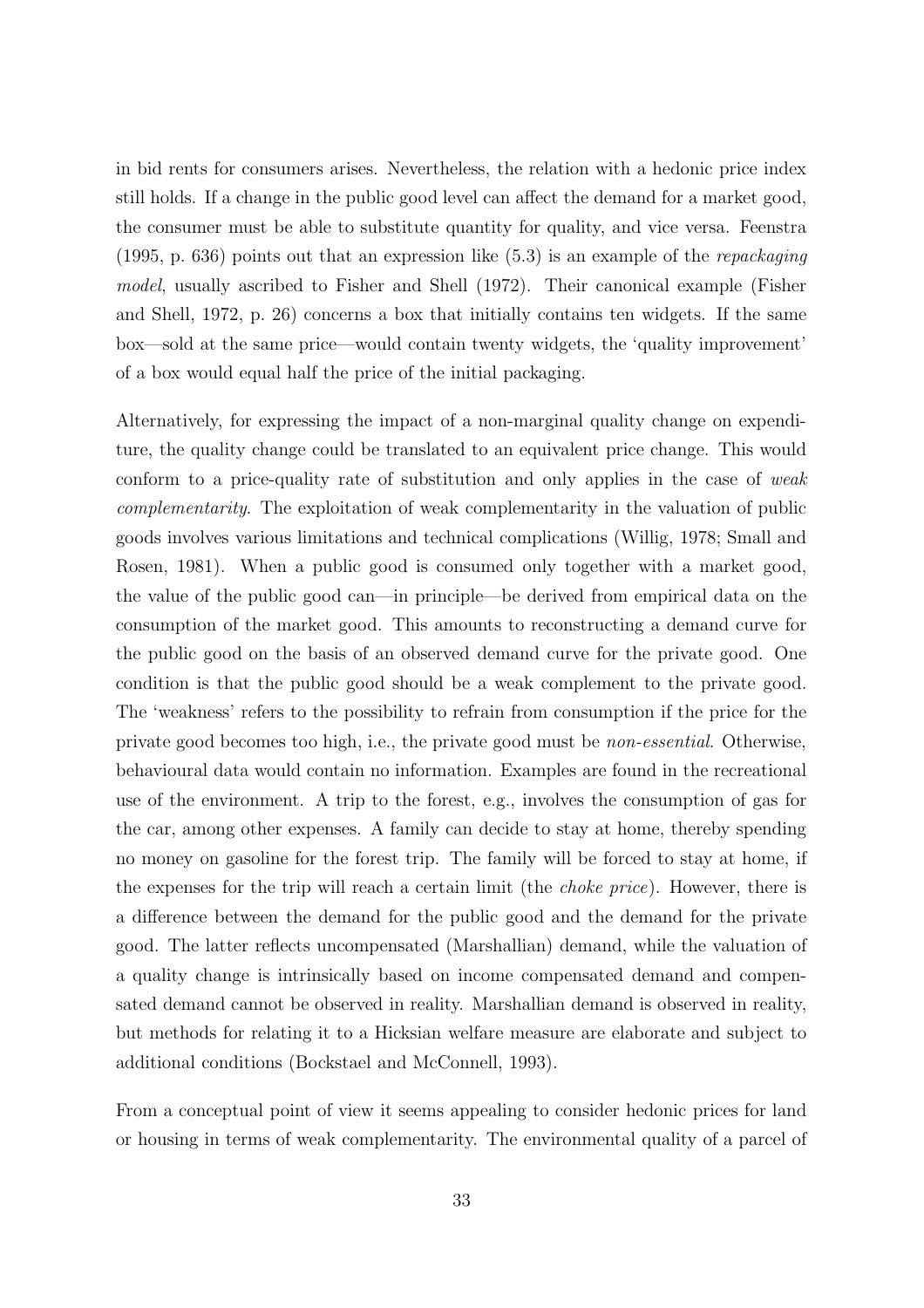in bid rents for consumers arises. Nevertheless, the relation with a hedonic price index still holds. If a change in the public good level can affect the demand for a market good, the consumer must be able to substitute quantity for quality, and vice versa. Feenstra (1995, p. 636) points out that an expression like  $(5.3)$  is an example of the *repackaging* model, usually ascribed to Fisher and Shell (1972). Their canonical example (Fisher and Shell, 1972, p. 26) concerns a box that initially contains ten widgets. If the same box—sold at the same price—would contain twenty widgets, the 'quality improvement' of a box would equal half the price of the initial packaging.

Alternatively, for expressing the impact of a non-marginal quality change on expenditure, the quality change could be translated to an equivalent price change. This would conform to a price-quality rate of substitution and only applies in the case of weak complementarity. The exploitation of weak complementarity in the valuation of public goods involves various limitations and technical complications (Willig, 1978; Small and Rosen, 1981). When a public good is consumed only together with a market good, the value of the public good can—in principle—be derived from empirical data on the consumption of the market good. This amounts to reconstructing a demand curve for the public good on the basis of an observed demand curve for the private good. One condition is that the public good should be a weak complement to the private good. The 'weakness' refers to the possibility to refrain from consumption if the price for the private good becomes too high, i.e., the private good must be non-essential. Otherwise, behavioural data would contain no information. Examples are found in the recreational use of the environment. A trip to the forest, e.g., involves the consumption of gas for the car, among other expenses. A family can decide to stay at home, thereby spending no money on gasoline for the forest trip. The family will be forced to stay at home, if the expenses for the trip will reach a certain limit (the choke price). However, there is a difference between the demand for the public good and the demand for the private good. The latter reflects uncompensated (Marshallian) demand, while the valuation of a quality change is intrinsically based on income compensated demand and compensated demand cannot be observed in reality. Marshallian demand is observed in reality, but methods for relating it to a Hicksian welfare measure are elaborate and subject to additional conditions (Bockstael and McConnell, 1993).

From a conceptual point of view it seems appealing to consider hedonic prices for land or housing in terms of weak complementarity. The environmental quality of a parcel of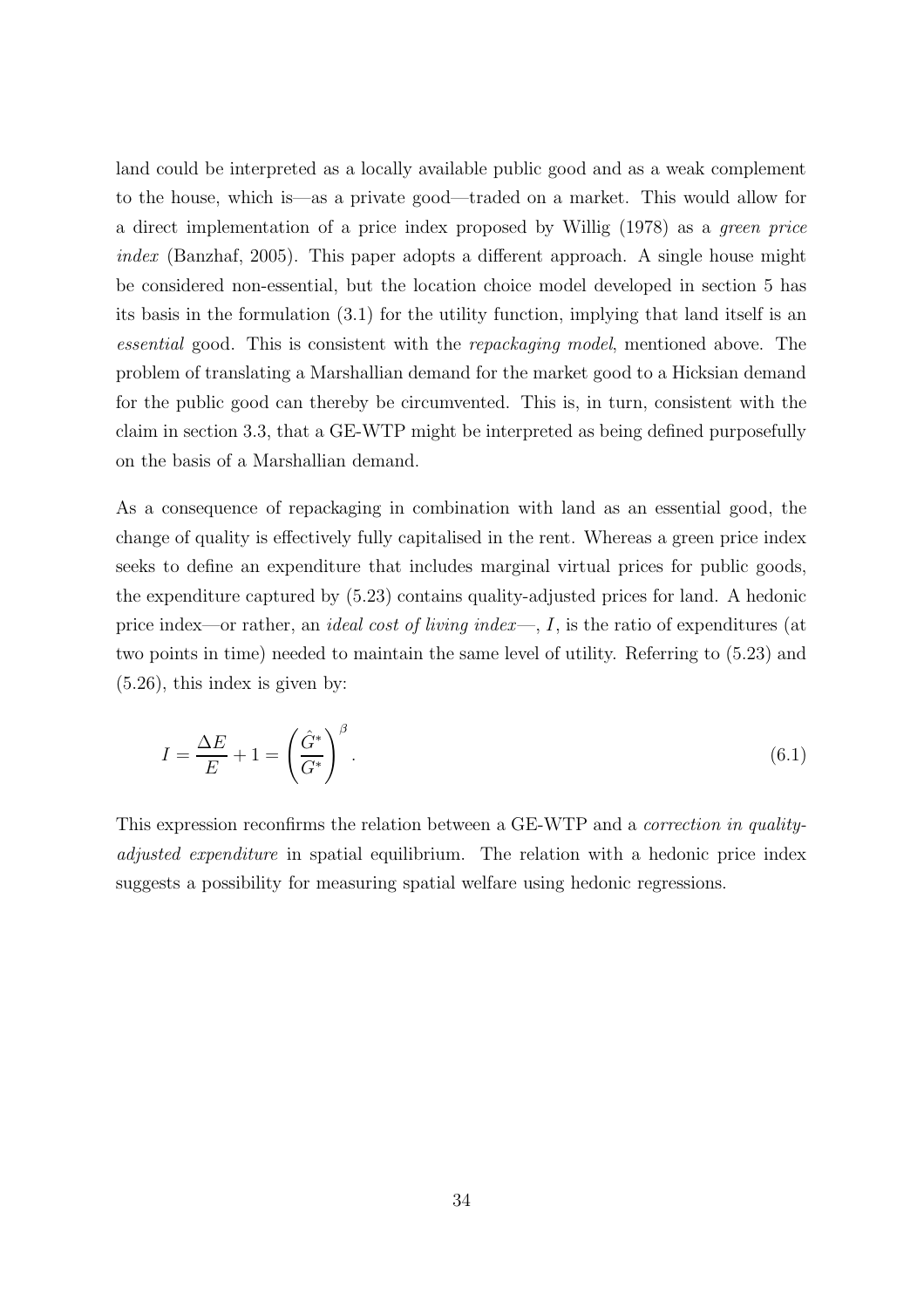land could be interpreted as a locally available public good and as a weak complement to the house, which is—as a private good—traded on a market. This would allow for a direct implementation of a price index proposed by Willig (1978) as a green price index (Banzhaf, 2005). This paper adopts a different approach. A single house might be considered non-essential, but the location choice model developed in section 5 has its basis in the formulation (3.1) for the utility function, implying that land itself is an essential good. This is consistent with the repackaging model, mentioned above. The problem of translating a Marshallian demand for the market good to a Hicksian demand for the public good can thereby be circumvented. This is, in turn, consistent with the claim in section 3.3, that a GE-WTP might be interpreted as being defined purposefully on the basis of a Marshallian demand.

As a consequence of repackaging in combination with land as an essential good, the change of quality is effectively fully capitalised in the rent. Whereas a green price index seeks to define an expenditure that includes marginal virtual prices for public goods, the expenditure captured by (5.23) contains quality-adjusted prices for land. A hedonic price index—or rather, an ideal cost of living index—, I, is the ratio of expenditures (at two points in time) needed to maintain the same level of utility. Referring to (5.23) and (5.26), this index is given by:

$$
I = \frac{\Delta E}{E} + 1 = \left(\frac{\hat{G}^*}{G^*}\right)^{\beta}.
$$
\n(6.1)

This expression reconfirms the relation between a GE-WTP and a correction in qualityadjusted expenditure in spatial equilibrium. The relation with a hedonic price index suggests a possibility for measuring spatial welfare using hedonic regressions.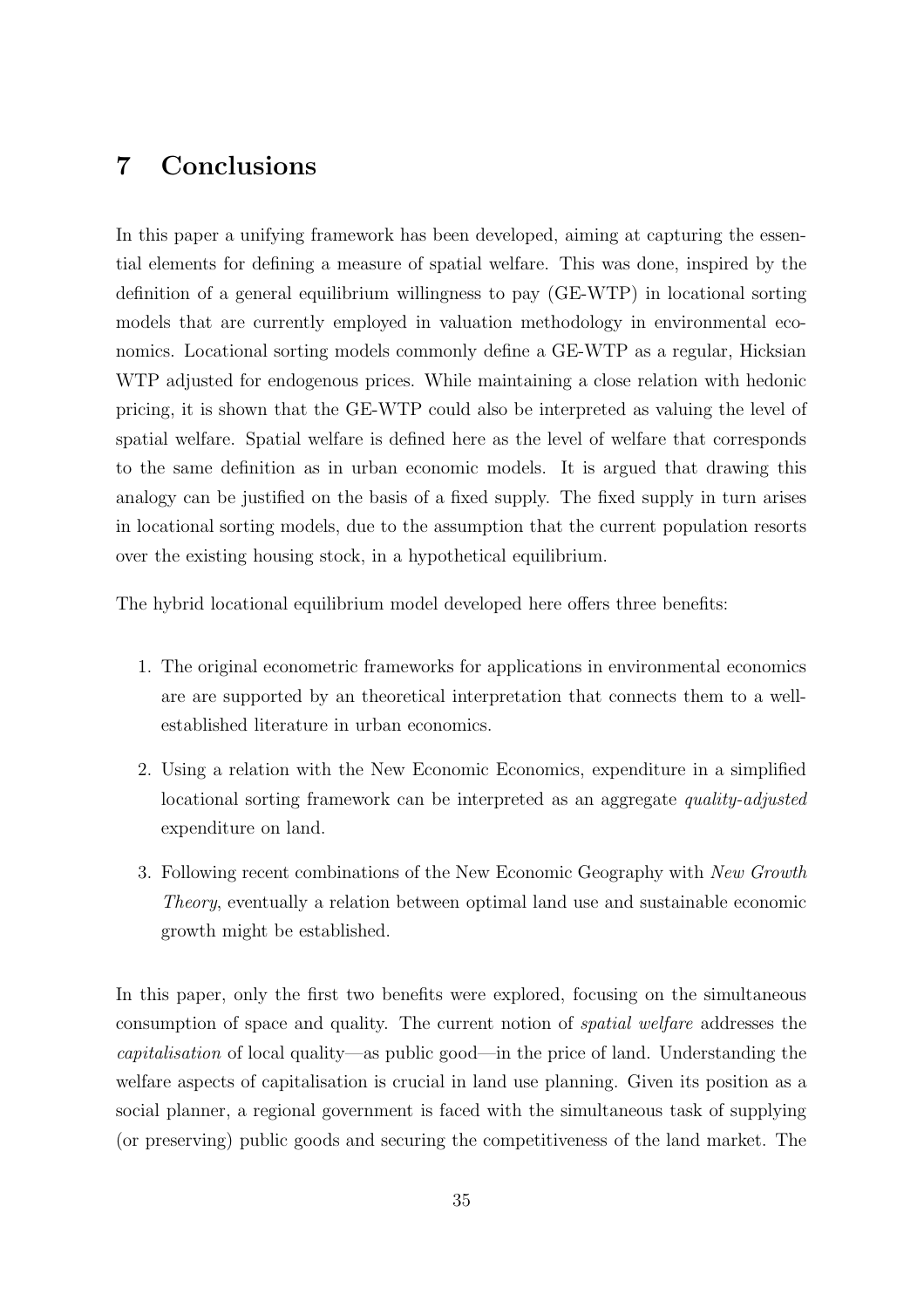## 7 Conclusions

In this paper a unifying framework has been developed, aiming at capturing the essential elements for defining a measure of spatial welfare. This was done, inspired by the definition of a general equilibrium willingness to pay (GE-WTP) in locational sorting models that are currently employed in valuation methodology in environmental economics. Locational sorting models commonly define a GE-WTP as a regular, Hicksian WTP adjusted for endogenous prices. While maintaining a close relation with hedonic pricing, it is shown that the GE-WTP could also be interpreted as valuing the level of spatial welfare. Spatial welfare is defined here as the level of welfare that corresponds to the same definition as in urban economic models. It is argued that drawing this analogy can be justified on the basis of a fixed supply. The fixed supply in turn arises in locational sorting models, due to the assumption that the current population resorts over the existing housing stock, in a hypothetical equilibrium.

The hybrid locational equilibrium model developed here offers three benefits:

- 1. The original econometric frameworks for applications in environmental economics are are supported by an theoretical interpretation that connects them to a wellestablished literature in urban economics.
- 2. Using a relation with the New Economic Economics, expenditure in a simplified locational sorting framework can be interpreted as an aggregate quality-adjusted expenditure on land.
- 3. Following recent combinations of the New Economic Geography with New Growth Theory, eventually a relation between optimal land use and sustainable economic growth might be established.

In this paper, only the first two benefits were explored, focusing on the simultaneous consumption of space and quality. The current notion of spatial welfare addresses the capitalisation of local quality—as public good—in the price of land. Understanding the welfare aspects of capitalisation is crucial in land use planning. Given its position as a social planner, a regional government is faced with the simultaneous task of supplying (or preserving) public goods and securing the competitiveness of the land market. The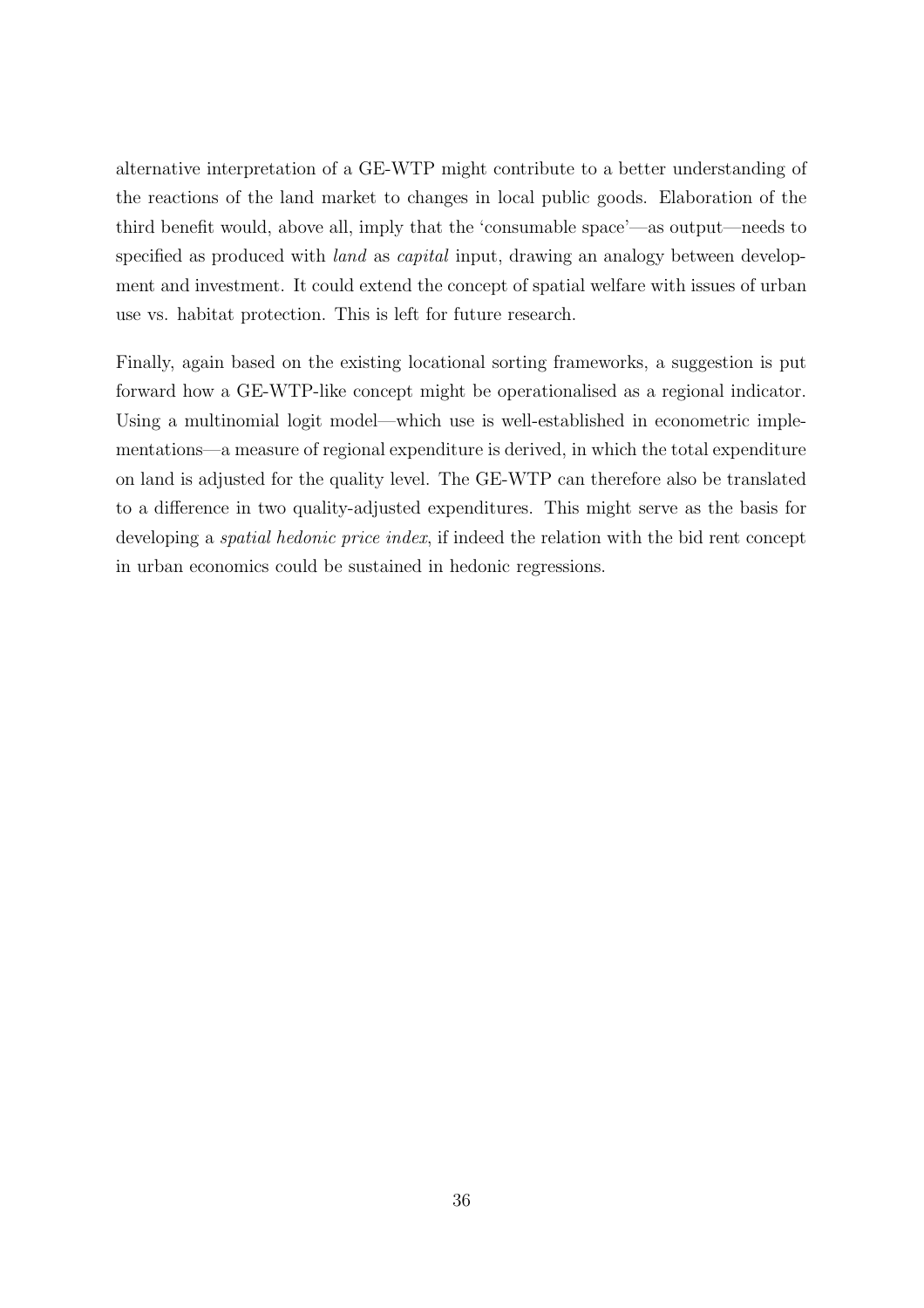alternative interpretation of a GE-WTP might contribute to a better understanding of the reactions of the land market to changes in local public goods. Elaboration of the third benefit would, above all, imply that the 'consumable space'—as output—needs to specified as produced with *land* as *capital* input, drawing an analogy between development and investment. It could extend the concept of spatial welfare with issues of urban use vs. habitat protection. This is left for future research.

Finally, again based on the existing locational sorting frameworks, a suggestion is put forward how a GE-WTP-like concept might be operationalised as a regional indicator. Using a multinomial logit model—which use is well-established in econometric implementations—a measure of regional expenditure is derived, in which the total expenditure on land is adjusted for the quality level. The GE-WTP can therefore also be translated to a difference in two quality-adjusted expenditures. This might serve as the basis for developing a *spatial hedonic price index*, if indeed the relation with the bid rent concept in urban economics could be sustained in hedonic regressions.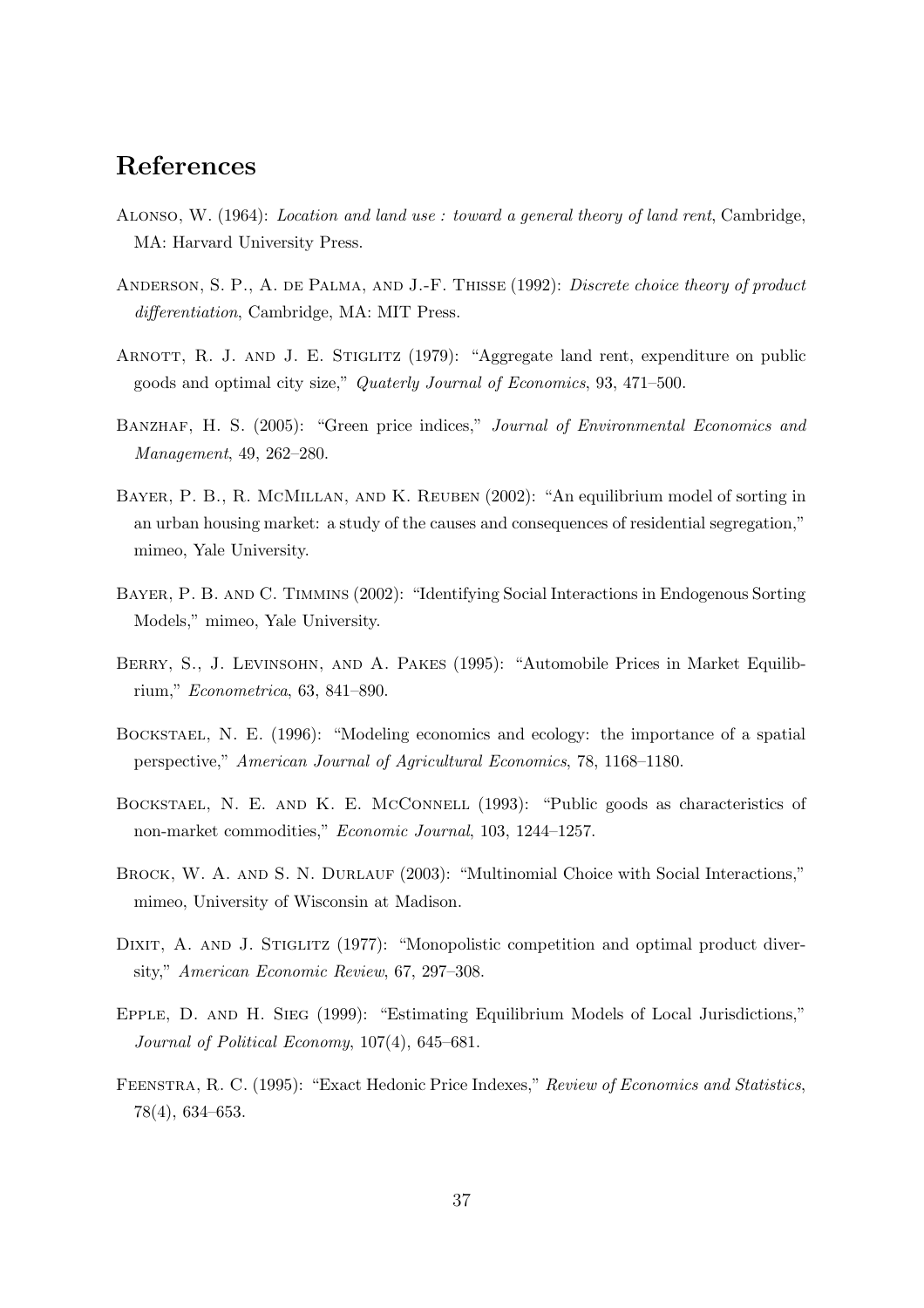## References

- Alonso, W. (1964): Location and land use : toward a general theory of land rent, Cambridge, MA: Harvard University Press.
- ANDERSON, S. P., A. DE PALMA, AND J.-F. THISSE (1992): Discrete choice theory of product differentiation, Cambridge, MA: MIT Press.
- ARNOTT, R. J. AND J. E. STIGLITZ (1979): "Aggregate land rent, expenditure on public goods and optimal city size," Quaterly Journal of Economics, 93, 471–500.
- BANZHAF, H. S. (2005): "Green price indices," Journal of Environmental Economics and Management, 49, 262–280.
- Bayer, P. B., R. McMillan, and K. Reuben (2002): "An equilibrium model of sorting in an urban housing market: a study of the causes and consequences of residential segregation," mimeo, Yale University.
- Bayer, P. B. and C. Timmins (2002): "Identifying Social Interactions in Endogenous Sorting Models," mimeo, Yale University.
- Berry, S., J. Levinsohn, and A. Pakes (1995): "Automobile Prices in Market Equilibrium," Econometrica, 63, 841–890.
- Bockstael, N. E. (1996): "Modeling economics and ecology: the importance of a spatial perspective," American Journal of Agricultural Economics, 78, 1168–1180.
- Bockstael, N. E. and K. E. McConnell (1993): "Public goods as characteristics of non-market commodities," Economic Journal, 103, 1244–1257.
- BROCK, W. A. AND S. N. DURLAUF (2003): "Multinomial Choice with Social Interactions," mimeo, University of Wisconsin at Madison.
- DIXIT, A. AND J. STIGLITZ (1977): "Monopolistic competition and optimal product diversity," American Economic Review, 67, 297–308.
- Epple, D. and H. Sieg (1999): "Estimating Equilibrium Models of Local Jurisdictions," Journal of Political Economy, 107(4), 645–681.
- Feenstra, R. C. (1995): "Exact Hedonic Price Indexes," Review of Economics and Statistics, 78(4), 634–653.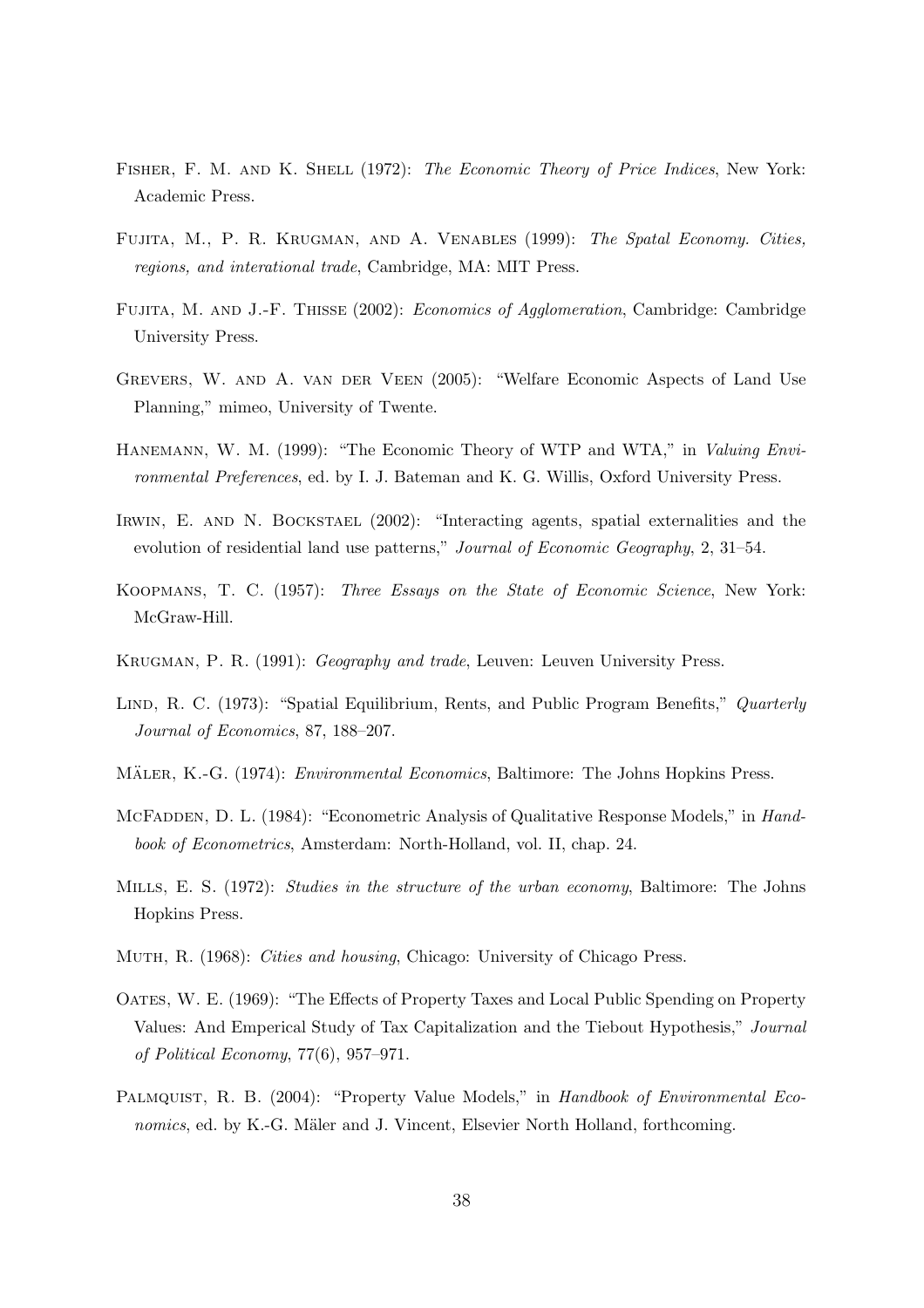- FISHER, F. M. AND K. SHELL (1972): The Economic Theory of Price Indices, New York: Academic Press.
- Fujita, M., P. R. Krugman, and A. Venables (1999): The Spatal Economy. Cities, regions, and interational trade, Cambridge, MA: MIT Press.
- Fujita, M. and J.-F. Thisse (2002): Economics of Agglomeration, Cambridge: Cambridge University Press.
- Grevers, W. and A. van der Veen (2005): "Welfare Economic Aspects of Land Use Planning," mimeo, University of Twente.
- Hanemann, W. M. (1999): "The Economic Theory of WTP and WTA," in Valuing Environmental Preferences, ed. by I. J. Bateman and K. G. Willis, Oxford University Press.
- IRWIN, E. AND N. BOCKSTAEL (2002): "Interacting agents, spatial externalities and the evolution of residential land use patterns," Journal of Economic Geography, 2, 31–54.
- Koopmans, T. C. (1957): Three Essays on the State of Economic Science, New York: McGraw-Hill.
- Krugman, P. R. (1991): Geography and trade, Leuven: Leuven University Press.
- LIND, R. C. (1973): "Spatial Equilibrium, Rents, and Public Program Benefits," Quarterly Journal of Economics, 87, 188–207.
- MÄLER, K.-G. (1974): *Environmental Economics*, Baltimore: The Johns Hopkins Press.
- MCFADDEN, D. L. (1984): "Econometric Analysis of Qualitative Response Models," in *Hand*book of Econometrics, Amsterdam: North-Holland, vol. II, chap. 24.
- Mills, E. S. (1972): Studies in the structure of the urban economy, Baltimore: The Johns Hopkins Press.
- Muth, R. (1968): Cities and housing, Chicago: University of Chicago Press.
- Oates, W. E. (1969): "The Effects of Property Taxes and Local Public Spending on Property Values: And Emperical Study of Tax Capitalization and the Tiebout Hypothesis," Journal of Political Economy, 77(6), 957–971.
- PALMQUIST, R. B. (2004): "Property Value Models," in Handbook of Environmental Economics, ed. by K.-G. Mäler and J. Vincent, Elsevier North Holland, forthcoming.